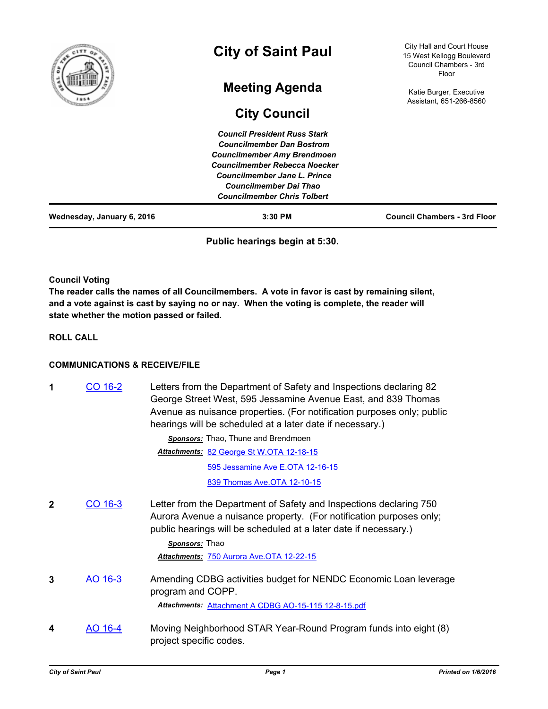|        | Councilmember Rebecca Noecker<br>Councilmember Jane L. Prince<br><b>Councilmember Dai Thao</b><br><b>Councilmember Chris Tolbert</b> |                                                                                           |
|--------|--------------------------------------------------------------------------------------------------------------------------------------|-------------------------------------------------------------------------------------------|
|        | <b>Council President Russ Stark</b><br><b>Councilmember Dan Bostrom</b><br><b>Councilmember Amy Brendmoen</b>                        |                                                                                           |
|        | <b>City Council</b>                                                                                                                  |                                                                                           |
|        | <b>Meeting Agenda</b>                                                                                                                | Katie Burger, Executive<br>Assistant, 651-266-8560                                        |
| f<br>ã | <b>City of Saint Paul</b>                                                                                                            | City Hall and Court House<br>15 West Kellogg Boulevard<br>Council Chambers - 3rd<br>Floor |

**Public hearings begin at 5:30.**

# **Council Voting**

**The reader calls the names of all Councilmembers. A vote in favor is cast by remaining silent, and a vote against is cast by saying no or nay. When the voting is complete, the reader will state whether the motion passed or failed.**

**ROLL CALL**

# **COMMUNICATIONS & RECEIVE/FILE**

| 1 | CO 16-2 | Letters from the Department of Safety and Inspections declaring 82<br>George Street West, 595 Jessamine Avenue East, and 839 Thomas<br>Avenue as nuisance properties. (For notification purposes only; public<br>hearings will be scheduled at a later date if necessary.) |
|---|---------|----------------------------------------------------------------------------------------------------------------------------------------------------------------------------------------------------------------------------------------------------------------------------|
|   |         | Sponsors: Thao, Thune and Brendmoen                                                                                                                                                                                                                                        |
|   |         | Attachments: 82 George St W.OTA 12-18-15                                                                                                                                                                                                                                   |
|   |         | 595 Jessamine Ave E.OTA 12-16-15                                                                                                                                                                                                                                           |
|   |         | 839 Thomas Ave.OTA 12-10-15                                                                                                                                                                                                                                                |
| 2 | CO 16-3 | Letter from the Department of Safety and Inspections declaring 750<br>Aurora Avenue a nuisance property. (For notification purposes only;<br>public hearings will be scheduled at a later date if necessary.)<br>Sponsors: Thao                                            |
|   |         | Attachments: 750 Aurora Ave.OTA 12-22-15                                                                                                                                                                                                                                   |
| 3 | AO 16-3 | Amending CDBG activities budget for NENDC Economic Loan leverage<br>program and COPP.                                                                                                                                                                                      |
|   |         | Attachments: Attachment A CDBG AO-15-115 12-8-15.pdf                                                                                                                                                                                                                       |
| 4 | AO 16-4 | Moving Neighborhood STAR Year-Round Program funds into eight (8)<br>project specific codes.                                                                                                                                                                                |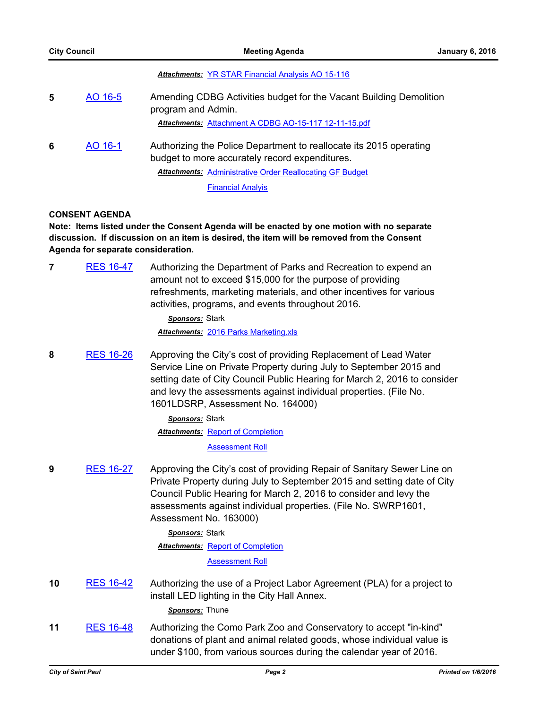### *Attachments:* [YR STAR Financial Analysis AO 15-116](http://StPaul.legistar.com/gateway.aspx?M=F&ID=6b54c16b-9a4d-47eb-8cf7-f5eea95e1361.pdf)

| 5 | AO 16-5 | Amending CDBG Activities budget for the Vacant Building Demolition<br>program and Admin.<br>Attachments: Attachment A CDBG AO-15-117 12-11-15.pdf                                       |
|---|---------|-----------------------------------------------------------------------------------------------------------------------------------------------------------------------------------------|
| 6 | AO 16-1 | Authorizing the Police Department to reallocate its 2015 operating<br>budget to more accurately record expenditures.<br><b>Attachments:</b> Administrative Order Reallocating GF Budget |

[Financial Analyis](http://StPaul.legistar.com/gateway.aspx?M=F&ID=73404edd-69c2-4354-9278-9ded8bb39bca.pdf)

### **CONSENT AGENDA**

**Note: Items listed under the Consent Agenda will be enacted by one motion with no separate discussion. If discussion on an item is desired, the item will be removed from the Consent Agenda for separate consideration.**

**7** [RES 16-47](http://stpaul.legistar.com/gateway.aspx?m=l&id=/matter.aspx?key=20191) Authorizing the Department of Parks and Recreation to expend an amount not to exceed \$15,000 for the purpose of providing refreshments, marketing materials, and other incentives for various activities, programs, and events throughout 2016.

> *Sponsors:* Stark *Attachments:* [2016 Parks Marketing.xls](http://StPaul.legistar.com/gateway.aspx?M=F&ID=1bd15a4b-64a2-442b-a927-c35bf757ae12.xls)

**8** [RES 16-26](http://stpaul.legistar.com/gateway.aspx?m=l&id=/matter.aspx?key=20502) Approving the City's cost of providing Replacement of Lead Water Service Line on Private Property during July to September 2015 and setting date of City Council Public Hearing for March 2, 2016 to consider and levy the assessments against individual properties. (File No. 1601LDSRP, Assessment No. 164000)

> *Sponsors:* Stark **Attachments: [Report of Completion](http://StPaul.legistar.com/gateway.aspx?M=F&ID=df5a4fd0-755a-4754-bc55-37b953cf7c04.pdf)** [Assessment Roll](http://StPaul.legistar.com/gateway.aspx?M=F&ID=a7565f30-472a-4d31-9da4-04735ad0bee6.pdf)

**9** [RES 16-27](http://stpaul.legistar.com/gateway.aspx?m=l&id=/matter.aspx?key=20503) Approving the City's cost of providing Repair of Sanitary Sewer Line on Private Property during July to September 2015 and setting date of City Council Public Hearing for March 2, 2016 to consider and levy the assessments against individual properties. (File No. SWRP1601, Assessment No. 163000)

> *Sponsors:* Stark **Attachments: [Report of Completion](http://StPaul.legistar.com/gateway.aspx?M=F&ID=20124b36-80fe-4320-a823-d63afc78d4e5.pdf) [Assessment Roll](http://StPaul.legistar.com/gateway.aspx?M=F&ID=13d399b9-c022-457d-a752-aa503baa5472.pdf)**

**10** [RES 16-42](http://stpaul.legistar.com/gateway.aspx?m=l&id=/matter.aspx?key=20531) Authorizing the use of a Project Labor Agreement (PLA) for a project to install LED lighting in the City Hall Annex.

*Sponsors:* Thune

**11** [RES 16-48](http://stpaul.legistar.com/gateway.aspx?m=l&id=/matter.aspx?key=20532) Authorizing the Como Park Zoo and Conservatory to accept "in-kind" donations of plant and animal related goods, whose individual value is under \$100, from various sources during the calendar year of 2016.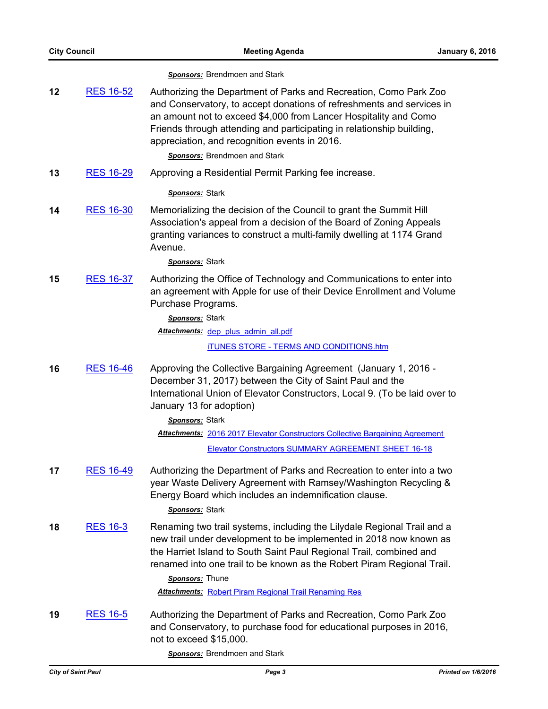|    |                  | <b>Sponsors:</b> Brendmoen and Stark                                                                                                                                                                                                                                                                                                                                              |
|----|------------------|-----------------------------------------------------------------------------------------------------------------------------------------------------------------------------------------------------------------------------------------------------------------------------------------------------------------------------------------------------------------------------------|
| 12 | <b>RES 16-52</b> | Authorizing the Department of Parks and Recreation, Como Park Zoo<br>and Conservatory, to accept donations of refreshments and services in<br>an amount not to exceed \$4,000 from Lancer Hospitality and Como<br>Friends through attending and participating in relationship building,<br>appreciation, and recognition events in 2016.<br><b>Sponsors:</b> Brendmoen and Stark  |
| 13 | <b>RES 16-29</b> | Approving a Residential Permit Parking fee increase.                                                                                                                                                                                                                                                                                                                              |
|    |                  | Sponsors: Stark                                                                                                                                                                                                                                                                                                                                                                   |
| 14 | <b>RES 16-30</b> | Memorializing the decision of the Council to grant the Summit Hill<br>Association's appeal from a decision of the Board of Zoning Appeals<br>granting variances to construct a multi-family dwelling at 1174 Grand<br>Avenue.                                                                                                                                                     |
|    |                  | Sponsors: Stark                                                                                                                                                                                                                                                                                                                                                                   |
| 15 | RES 16-37        | Authorizing the Office of Technology and Communications to enter into<br>an agreement with Apple for use of their Device Enrollment and Volume<br>Purchase Programs.                                                                                                                                                                                                              |
|    |                  | Sponsors: Stark                                                                                                                                                                                                                                                                                                                                                                   |
|    |                  | Attachments: dep plus admin all.pdf                                                                                                                                                                                                                                                                                                                                               |
|    |                  | <b>iTUNES STORE - TERMS AND CONDITIONS.htm</b>                                                                                                                                                                                                                                                                                                                                    |
| 16 | <b>RES 16-46</b> | Approving the Collective Bargaining Agreement (January 1, 2016 -<br>December 31, 2017) between the City of Saint Paul and the<br>International Union of Elevator Constructors, Local 9. (To be laid over to<br>January 13 for adoption)                                                                                                                                           |
|    |                  | Sponsors: Stark                                                                                                                                                                                                                                                                                                                                                                   |
|    |                  | <b>Attachments: 2016 2017 Elevator Constructors Collective Bargaining Agreement</b>                                                                                                                                                                                                                                                                                               |
|    |                  | <b>Elevator Constructors SUMMARY AGREEMENT SHEET 16-18</b>                                                                                                                                                                                                                                                                                                                        |
| 17 | <b>RES 16-49</b> | Authorizing the Department of Parks and Recreation to enter into a two<br>year Waste Delivery Agreement with Ramsey/Washington Recycling &<br>Energy Board which includes an indemnification clause.<br>Sponsors: Stark                                                                                                                                                           |
| 18 | <b>RES 16-3</b>  | Renaming two trail systems, including the Lilydale Regional Trail and a<br>new trail under development to be implemented in 2018 now known as<br>the Harriet Island to South Saint Paul Regional Trail, combined and<br>renamed into one trail to be known as the Robert Piram Regional Trail.<br>Sponsors: Thune<br><b>Attachments: Robert Piram Regional Trail Renaming Res</b> |
| 19 | <b>RES 16-5</b>  | Authorizing the Department of Parks and Recreation, Como Park Zoo<br>and Conservatory, to purchase food for educational purposes in 2016,<br>not to exceed \$15,000.                                                                                                                                                                                                              |

*Sponsors:* Brendmoen and Stark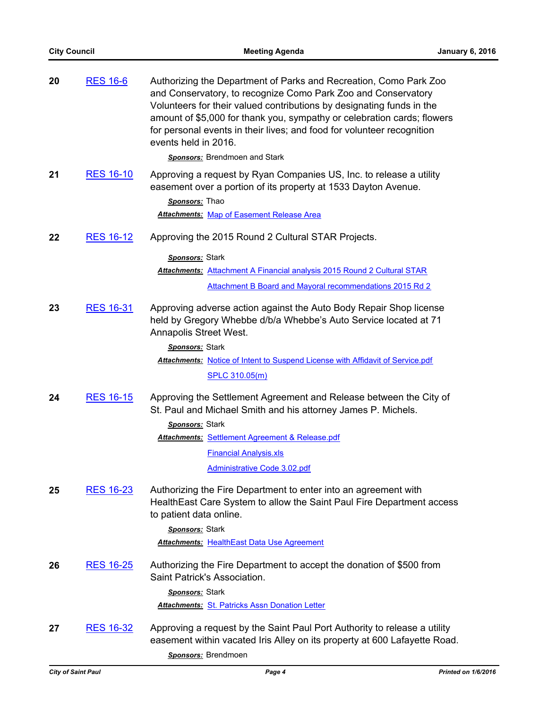| 20 | <b>RES 16-6</b>  | Authorizing the Department of Parks and Recreation, Como Park Zoo<br>and Conservatory, to recognize Como Park Zoo and Conservatory<br>Volunteers for their valued contributions by designating funds in the<br>amount of \$5,000 for thank you, sympathy or celebration cards; flowers<br>for personal events in their lives; and food for volunteer recognition<br>events held in 2016. |
|----|------------------|------------------------------------------------------------------------------------------------------------------------------------------------------------------------------------------------------------------------------------------------------------------------------------------------------------------------------------------------------------------------------------------|
|    |                  | <b>Sponsors:</b> Brendmoen and Stark                                                                                                                                                                                                                                                                                                                                                     |
| 21 | <b>RES 16-10</b> | Approving a request by Ryan Companies US, Inc. to release a utility<br>easement over a portion of its property at 1533 Dayton Avenue.<br>Sponsors: Thao<br><b>Attachments: Map of Easement Release Area</b>                                                                                                                                                                              |
| 22 | <b>RES 16-12</b> | Approving the 2015 Round 2 Cultural STAR Projects.                                                                                                                                                                                                                                                                                                                                       |
|    |                  | Sponsors: Stark                                                                                                                                                                                                                                                                                                                                                                          |
|    |                  | Attachments: Attachment A Financial analysis 2015 Round 2 Cultural STAR                                                                                                                                                                                                                                                                                                                  |
|    |                  | Attachment B Board and Mayoral recommendations 2015 Rd 2                                                                                                                                                                                                                                                                                                                                 |
| 23 | <b>RES 16-31</b> | Approving adverse action against the Auto Body Repair Shop license<br>held by Gregory Whebbe d/b/a Whebbe's Auto Service located at 71<br>Annapolis Street West.                                                                                                                                                                                                                         |
|    |                  | Sponsors: Stark                                                                                                                                                                                                                                                                                                                                                                          |
|    |                  | Attachments: Notice of Intent to Suspend License with Affidavit of Service.pdf                                                                                                                                                                                                                                                                                                           |
|    |                  | <b>SPLC 310.05(m)</b>                                                                                                                                                                                                                                                                                                                                                                    |
| 24 | <b>RES 16-15</b> | Approving the Settlement Agreement and Release between the City of<br>St. Paul and Michael Smith and his attorney James P. Michels.<br>Sponsors: Stark                                                                                                                                                                                                                                   |
|    |                  | <b>Attachments: Settlement Agreement &amp; Release.pdf</b>                                                                                                                                                                                                                                                                                                                               |
|    |                  | <b>Financial Analysis.xls</b>                                                                                                                                                                                                                                                                                                                                                            |
|    |                  | Administrative Code 3.02.pdf                                                                                                                                                                                                                                                                                                                                                             |
| 25 | <u>RES 16-23</u> | Authorizing the Fire Department to enter into an agreement with<br>HealthEast Care System to allow the Saint Paul Fire Department access<br>to patient data online.                                                                                                                                                                                                                      |
|    |                  | Sponsors: Stark                                                                                                                                                                                                                                                                                                                                                                          |
|    |                  | <b>Attachments: HealthEast Data Use Agreement</b>                                                                                                                                                                                                                                                                                                                                        |
| 26 | <b>RES 16-25</b> | Authorizing the Fire Department to accept the donation of \$500 from<br>Saint Patrick's Association.                                                                                                                                                                                                                                                                                     |
|    |                  | Sponsors: Stark                                                                                                                                                                                                                                                                                                                                                                          |
|    |                  | <b>Attachments: St. Patricks Assn Donation Letter</b>                                                                                                                                                                                                                                                                                                                                    |
| 27 | RES 16-32        | Approving a request by the Saint Paul Port Authority to release a utility<br>easement within vacated Iris Alley on its property at 600 Lafayette Road.<br>Sponsors: Brendmoen                                                                                                                                                                                                            |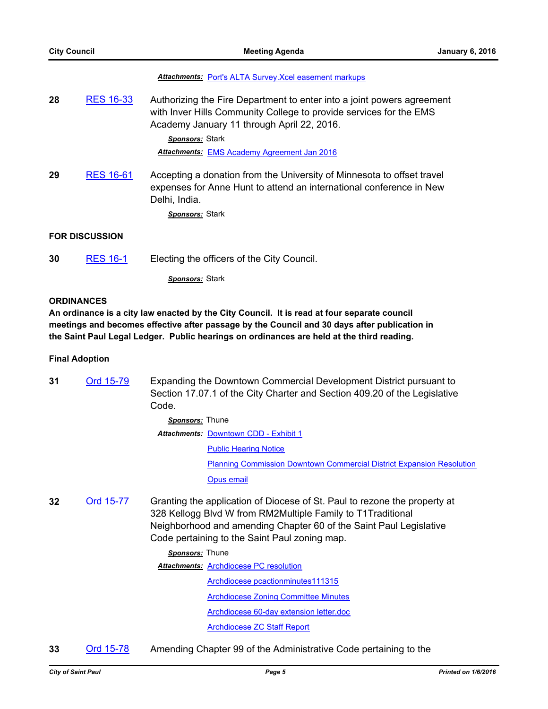#### *Attachments:* [Port's ALTA Survey.Xcel easement markups](http://StPaul.legistar.com/gateway.aspx?M=F&ID=a969936c-e859-4e93-b2d9-c8af1644da34.pdf)

**28** [RES 16-33](http://stpaul.legistar.com/gateway.aspx?m=l&id=/matter.aspx?key=20592) Authorizing the Fire Department to enter into a joint powers agreement with Inver Hills Community College to provide services for the EMS Academy January 11 through April 22, 2016.

> *Sponsors:* Stark *Attachments:* [EMS Academy Agreement Jan 2016](http://StPaul.legistar.com/gateway.aspx?M=F&ID=d7966269-b2ca-489b-b4f1-8867d2a79d20.pdf)

**29** [RES 16-61](http://stpaul.legistar.com/gateway.aspx?m=l&id=/matter.aspx?key=20624) Accepting a donation from the University of Minnesota to offset travel expenses for Anne Hunt to attend an international conference in New Delhi, India.

*Sponsors:* Stark

# **FOR DISCUSSION**

**30** [RES 16-1](http://stpaul.legistar.com/gateway.aspx?m=l&id=/matter.aspx?key=20391) Electing the officers of the City Council.

*Sponsors:* Stark

#### **ORDINANCES**

**An ordinance is a city law enacted by the City Council. It is read at four separate council meetings and becomes effective after passage by the Council and 30 days after publication in the Saint Paul Legal Ledger. Public hearings on ordinances are held at the third reading.**

#### **Final Adoption**

**31** [Ord 15-79](http://stpaul.legistar.com/gateway.aspx?m=l&id=/matter.aspx?key=18996) Expanding the Downtown Commercial Development District pursuant to Section 17.07.1 of the City Charter and Section 409.20 of the Legislative Code.

> *Sponsors:* Thune **Attachments: [Downtown CDD - Exhibit 1](http://StPaul.legistar.com/gateway.aspx?M=F&ID=d7d671e5-f691-485c-ae67-b7048df0c62d.pdf)** [Public Hearing Notice](http://StPaul.legistar.com/gateway.aspx?M=F&ID=e4de60a1-c29b-4393-9658-d2be708e8680.docx) [Planning Commission Downtown Commercial District Expansion Resolution](http://StPaul.legistar.com/gateway.aspx?M=F&ID=af719641-ae18-4604-9c9d-478f2ad1303b.pdf) [Opus email](http://StPaul.legistar.com/gateway.aspx?M=F&ID=c58fd60c-e307-4072-abf1-6109a80cb784.docx)

**32** [Ord 15-77](http://stpaul.legistar.com/gateway.aspx?m=l&id=/matter.aspx?key=20247) Granting the application of Diocese of St. Paul to rezone the property at 328 Kellogg Blvd W from RM2Multiple Family to T1Traditional Neighborhood and amending Chapter 60 of the Saint Paul Legislative Code pertaining to the Saint Paul zoning map.

#### *Sponsors:* Thune

**Attachments: [Archdiocese PC resolution](http://StPaul.legistar.com/gateway.aspx?M=F&ID=fb86d4b5-0076-4ee4-859e-c202fa612ef7.pdf)** [Archdiocese pcactionminutes111315](http://StPaul.legistar.com/gateway.aspx?M=F&ID=3b961457-4980-470b-aaec-ffcb5b4d9b98.pdf) **[Archdiocese Zoning Committee Minutes](http://StPaul.legistar.com/gateway.aspx?M=F&ID=60958f98-a88d-4b1d-a456-cb9035b4a908.pdf)** 

[Archdiocese 60-day extension letter.doc](http://StPaul.legistar.com/gateway.aspx?M=F&ID=462777c0-8721-41eb-bef6-e6bb92f191e0.pdf)

[Archdiocese ZC Staff Report](http://StPaul.legistar.com/gateway.aspx?M=F&ID=1a1b7ff4-daf4-4c38-a788-4b7a1e5f72ac.pdf)

**33** [Ord 15-78](http://stpaul.legistar.com/gateway.aspx?m=l&id=/matter.aspx?key=20276) Amending Chapter 99 of the Administrative Code pertaining to the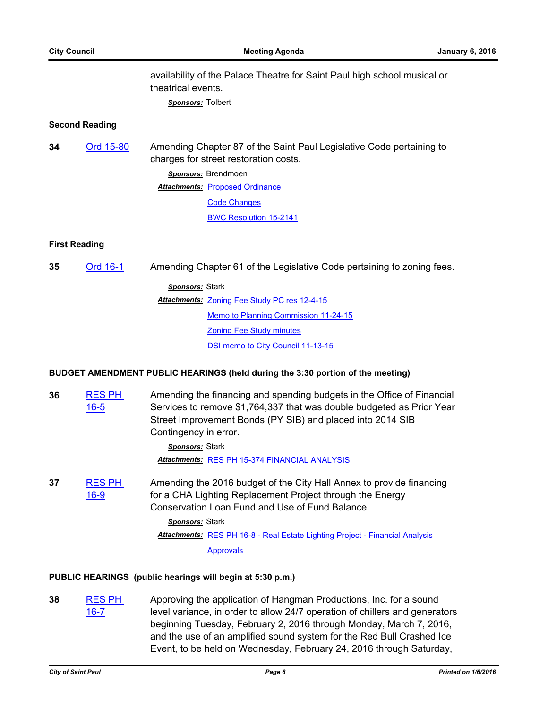availability of the Palace Theatre for Saint Paul high school musical or theatrical events.

*Sponsors:* Tolbert

## **Second Reading**

**34** [Ord 15-80](http://stpaul.legistar.com/gateway.aspx?m=l&id=/matter.aspx?key=20401) Amending Chapter 87 of the Saint Paul Legislative Code pertaining to charges for street restoration costs. *Sponsors:* Brendmoen **Attachments: [Proposed Ordinance](http://StPaul.legistar.com/gateway.aspx?M=F&ID=fe2c5dde-c64b-4492-9f6d-fa2828db33c9.pdf)** [Code Changes](http://StPaul.legistar.com/gateway.aspx?M=F&ID=a46cc251-a798-4332-aea4-3c5eb2637071.pdf) [BWC Resolution 15-2141](http://StPaul.legistar.com/gateway.aspx?M=F&ID=3fa8e24f-184b-4468-981c-7dfc6fd3a4db.pdf)

## **First Reading**

**35** [Ord 16-1](http://stpaul.legistar.com/gateway.aspx?m=l&id=/matter.aspx?key=20529) Amending Chapter 61 of the Legislative Code pertaining to zoning fees.

*Sponsors:* Stark **Attachments: [Zoning Fee Study PC res 12-4-15](http://StPaul.legistar.com/gateway.aspx?M=F&ID=7e9b27d3-abc0-4185-a321-7766ec717716.pdf)** [Memo to Planning Commission 11-24-15](http://StPaul.legistar.com/gateway.aspx?M=F&ID=7cfe51d9-c86b-4e95-89a4-3f1863d155e7.pdf) [Zoning Fee Study minutes](http://StPaul.legistar.com/gateway.aspx?M=F&ID=79460ae2-f4ba-4264-93cf-e7889d256414.pdf) [DSI memo to City Council 11-13-15](http://StPaul.legistar.com/gateway.aspx?M=F&ID=74c6584a-9606-4a60-af24-bd0b576df4fc.pdf)

## **BUDGET AMENDMENT PUBLIC HEARINGS (held during the 3:30 portion of the meeting)**

**36** [RES PH](http://stpaul.legistar.com/gateway.aspx?m=l&id=/matter.aspx?key=20494)  16-5 Amending the financing and spending budgets in the Office of Financial Services to remove \$1,764,337 that was double budgeted as Prior Year Street Improvement Bonds (PY SIB) and placed into 2014 SIB Contingency in error.

> *Sponsors:* Stark *Attachments:* [RES PH 15-374 FINANCIAL ANALYSIS](http://StPaul.legistar.com/gateway.aspx?M=F&ID=e12d6905-0b76-416f-9237-1cc617ebd3c0.pdf)

**37** [RES PH](http://stpaul.legistar.com/gateway.aspx?m=l&id=/matter.aspx?key=20620)  16-9 Amending the 2016 budget of the City Hall Annex to provide financing for a CHA Lighting Replacement Project through the Energy Conservation Loan Fund and Use of Fund Balance.

> *Sponsors:* Stark Attachments: [RES PH 16-8 - Real Estate Lighting Project - Financial Analysis](http://StPaul.legistar.com/gateway.aspx?M=F&ID=1c86fd0c-66df-4a34-b8b1-7e52d6724e76.pdf) [Approvals](http://StPaul.legistar.com/gateway.aspx?M=F&ID=cfbec89d-1571-42c2-9ef7-0405c06f528f.pdf)

# **PUBLIC HEARINGS (public hearings will begin at 5:30 p.m.)**

**38** [RES PH](http://stpaul.legistar.com/gateway.aspx?m=l&id=/matter.aspx?key=20328)  16-7 Approving the application of Hangman Productions, Inc. for a sound level variance, in order to allow 24/7 operation of chillers and generators beginning Tuesday, February 2, 2016 through Monday, March 7, 2016, and the use of an amplified sound system for the Red Bull Crashed Ice Event, to be held on Wednesday, February 24, 2016 through Saturday,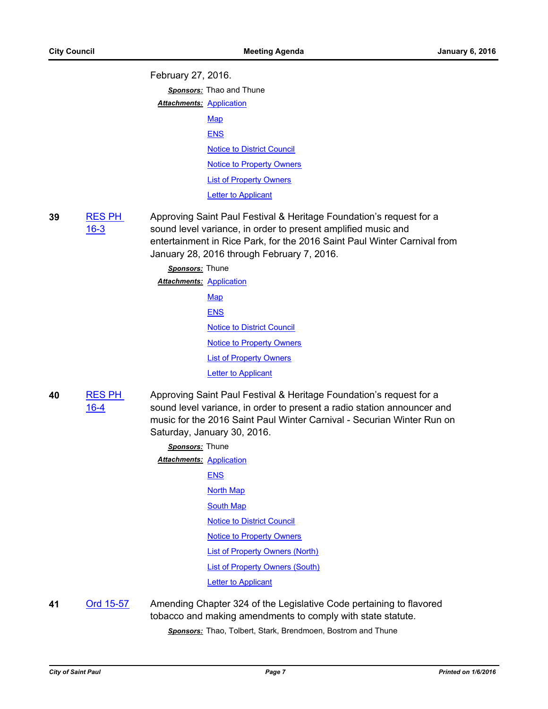February 27, 2016.

*Sponsors:* Thao and Thune

**Attachments: [Application](http://StPaul.legistar.com/gateway.aspx?M=F&ID=32e238ad-cdab-49eb-a0bd-bfb12f0c4984.pdf)** 

**[Map](http://StPaul.legistar.com/gateway.aspx?M=F&ID=f6547c5c-af30-476d-ac51-c3b2eaaabbff.pdf)** [ENS](http://StPaul.legistar.com/gateway.aspx?M=F&ID=962198e9-67c9-4520-9167-a576deecc7d0.pdf) [Notice to District Council](http://StPaul.legistar.com/gateway.aspx?M=F&ID=c73be338-78fd-471b-b274-99bf36294b43.pdf) [Notice to Property Owners](http://StPaul.legistar.com/gateway.aspx?M=F&ID=6bbe6fab-f8bd-4505-9103-531551096117.pdf) [List of Property Owners](http://StPaul.legistar.com/gateway.aspx?M=F&ID=65b0f772-23de-4882-974d-5673d4aa4d60.pdf) **[Letter to Applicant](http://StPaul.legistar.com/gateway.aspx?M=F&ID=fe44edd7-a433-410f-a807-40c9a2638124.pdf)** 

**39** [RES PH](http://stpaul.legistar.com/gateway.aspx?m=l&id=/matter.aspx?key=20329)  16-3 Approving Saint Paul Festival & Heritage Foundation's request for a sound level variance, in order to present amplified music and entertainment in Rice Park, for the 2016 Saint Paul Winter Carnival from January 28, 2016 through February 7, 2016.

> *Sponsors:* Thune **Attachments: [Application](http://StPaul.legistar.com/gateway.aspx?M=F&ID=51914805-76ea-4239-85a8-726c7aef36bb.pdf) [Map](http://StPaul.legistar.com/gateway.aspx?M=F&ID=1de867f1-4b54-49b0-8b5d-79cb6531e6f5.pdf)** [ENS](http://StPaul.legistar.com/gateway.aspx?M=F&ID=15498611-10b9-46a3-8066-e9632392e48a.pdf) [Notice to District Council](http://StPaul.legistar.com/gateway.aspx?M=F&ID=85b780fe-cde0-49f5-887c-fd3922e777fa.pdf) **[Notice to Property Owners](http://StPaul.legistar.com/gateway.aspx?M=F&ID=f10e01cd-6b14-4ead-bed3-ca682df63b12.pdf)** [List of Property Owners](http://StPaul.legistar.com/gateway.aspx?M=F&ID=fd14b1e7-17b8-4958-9170-ab44bfd93111.pdf) [Letter to Applicant](http://StPaul.legistar.com/gateway.aspx?M=F&ID=ae82a073-e965-41a2-a0c7-8e6a03d5e95d.pdf)

**40** [RES PH](http://stpaul.legistar.com/gateway.aspx?m=l&id=/matter.aspx?key=20338)  16-4 Approving Saint Paul Festival & Heritage Foundation's request for a sound level variance, in order to present a radio station announcer and music for the 2016 Saint Paul Winter Carnival - Securian Winter Run on Saturday, January 30, 2016.

| Sponsors: Thune                 |                                   |
|---------------------------------|-----------------------------------|
| <b>Attachments: Application</b> |                                   |
|                                 | <b>ENS</b>                        |
|                                 | <b>North Map</b>                  |
|                                 | South Map                         |
|                                 | <b>Notice to District Council</b> |
|                                 | <b>Notice to Property Owners</b>  |
|                                 | List of Property Owners (North)   |
|                                 | List of Property Owners (South)   |
|                                 | Letter to Applicant               |

**41** [Ord 15-57](http://stpaul.legistar.com/gateway.aspx?m=l&id=/matter.aspx?key=20034) Amending Chapter 324 of the Legislative Code pertaining to flavored tobacco and making amendments to comply with state statute.

*Sponsors:* Thao, Tolbert, Stark, Brendmoen, Bostrom and Thune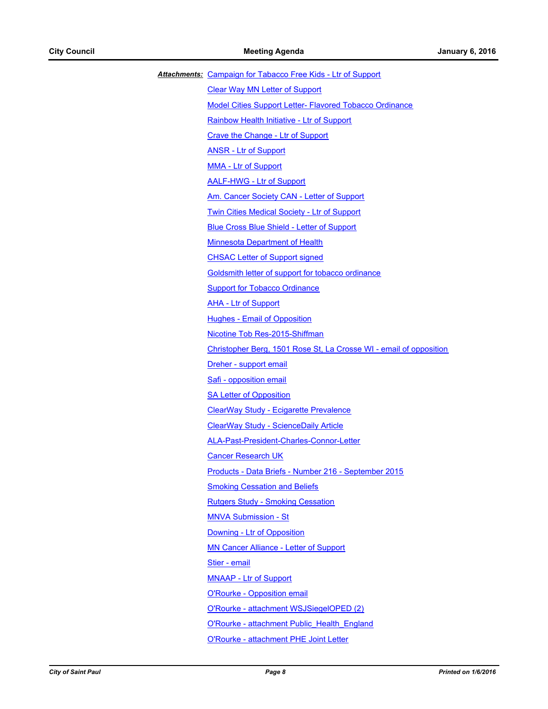| Attachments: Campaign for Tabacco Free Kids - Ltr of Support       |
|--------------------------------------------------------------------|
| <b>Clear Way MN Letter of Support</b>                              |
| <b>Model Cities Support Letter- Flavored Tobacco Ordinance</b>     |
| Rainbow Health Initiative - Ltr of Support                         |
| <b>Crave the Change - Ltr of Support</b>                           |
| <b>ANSR - Ltr of Support</b>                                       |
| <b>MMA - Ltr of Support</b>                                        |
| <b>AALF-HWG - Ltr of Support</b>                                   |
| Am. Cancer Society CAN - Letter of Support                         |
| <b>Twin Cities Medical Society - Ltr of Support</b>                |
| <b>Blue Cross Blue Shield - Letter of Support</b>                  |
| <b>Minnesota Department of Health</b>                              |
| <b>CHSAC Letter of Support signed</b>                              |
| Goldsmith letter of support for tobacco ordinance                  |
| <b>Support for Tobacco Ordinance</b>                               |
| <b>AHA - Ltr of Support</b>                                        |
| <b>Hughes - Email of Opposition</b>                                |
| Nicotine Tob Res-2015-Shiffman                                     |
| Christopher Berg, 1501 Rose St, La Crosse WI - email of opposition |
| Dreher - support email                                             |
| Safi - opposition email                                            |
| <b>SA Letter of Opposition</b>                                     |
| <b>ClearWay Study - Ecigarette Prevalence</b>                      |
| <b>ClearWay Study - ScienceDaily Article</b>                       |
| ALA-Past-President-Charles-Connor-Letter                           |
| <b>Cancer Research UK</b>                                          |
| Products - Data Briefs - Number 216 - September 2015               |
| <b>Smoking Cessation and Beliefs</b>                               |
| <b>Rutgers Study - Smoking Cessation</b>                           |
| <b>MNVA Submission - St</b>                                        |
| Downing - Ltr of Opposition                                        |
| <b>MN Cancer Alliance - Letter of Support</b>                      |
| Stier - email                                                      |
| <b>MNAAP - Ltr of Support</b>                                      |
| O'Rourke - Opposition email                                        |
| O'Rourke - attachment WSJSiegelOPED (2)                            |
| O'Rourke - attachment Public Health England                        |
| O'Rourke - attachment PHE Joint Letter                             |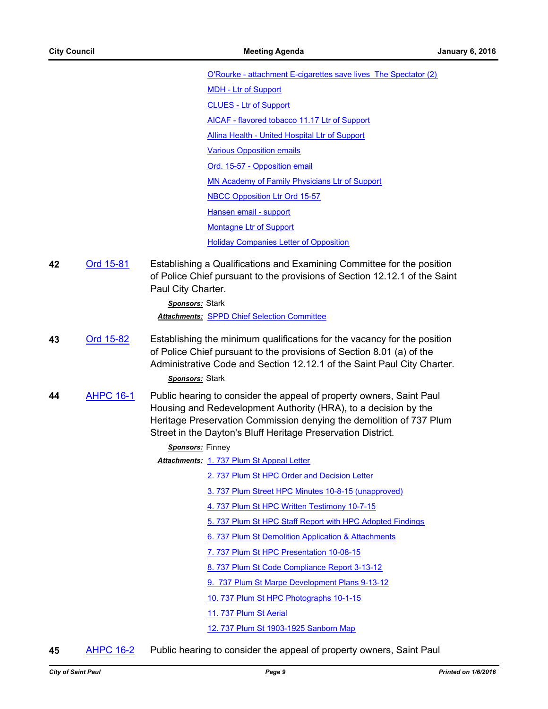[O'Rourke - attachment E-cigarettes save lives The Spectator \(2\)](http://StPaul.legistar.com/gateway.aspx?M=F&ID=baf6b690-1416-4d0b-8874-34b04fbd9e4b.pdf) [MDH - Ltr of Support](http://StPaul.legistar.com/gateway.aspx?M=F&ID=200bea2e-44ca-4dc2-8b1e-8c9113dc1670.pdf) [CLUES - Ltr of Support](http://StPaul.legistar.com/gateway.aspx?M=F&ID=35a32780-5a32-4d87-9ab4-3a7da5565df4.pdf) [AICAF - flavored tobacco 11.17 Ltr of Support](http://StPaul.legistar.com/gateway.aspx?M=F&ID=77660ac9-f521-4c76-8bec-c9e166cfe463.pdf) [Allina Health - United Hospital Ltr of Support](http://StPaul.legistar.com/gateway.aspx?M=F&ID=b163e739-9709-43c3-b911-e4918ebae235.pdf) [Various Opposition emails](http://StPaul.legistar.com/gateway.aspx?M=F&ID=f24da009-968b-413a-9c70-9ffeea50bddb.pdf) [Ord. 15-57 - Opposition email](http://StPaul.legistar.com/gateway.aspx?M=F&ID=32ef64d9-7c0f-4933-963b-25293e7b7a76.pdf) [MN Academy of Family Physicians Ltr of Support](http://StPaul.legistar.com/gateway.aspx?M=F&ID=1c93d396-0e9c-4dd5-a62c-4eead1cd7653.pdf) [NBCC Opposition Ltr Ord 15-57](http://StPaul.legistar.com/gateway.aspx?M=F&ID=ce483301-fd81-4bb5-8a70-aeac00306d4f.pdf) [Hansen email - support](http://StPaul.legistar.com/gateway.aspx?M=F&ID=230fa548-8427-4375-81ac-5c8b2dee2299.pdf) [Montagne Ltr of Support](http://StPaul.legistar.com/gateway.aspx?M=F&ID=e3b70e35-55b6-4a1e-957d-ec6fe7040f96.pdf) [Holiday Companies Letter of Opposition](http://StPaul.legistar.com/gateway.aspx?M=F&ID=5442bf57-9e2f-4214-8b1d-97bbf66eea47.pdf)

**42** [Ord 15-81](http://stpaul.legistar.com/gateway.aspx?m=l&id=/matter.aspx?key=20419) Establishing a Qualifications and Examining Committee for the position of Police Chief pursuant to the provisions of Section 12.12.1 of the Saint Paul City Charter.

> *Sponsors:* Stark *Attachments:* [SPPD Chief Selection Committee](http://StPaul.legistar.com/gateway.aspx?M=F&ID=47439747-52e6-4954-b817-74221af26203.pdf)

**43** [Ord 15-82](http://stpaul.legistar.com/gateway.aspx?m=l&id=/matter.aspx?key=20430) Establishing the minimum qualifications for the vacancy for the position of Police Chief pursuant to the provisions of Section 8.01 (a) of the Administrative Code and Section 12.12.1 of the Saint Paul City Charter.

*Sponsors:* Stark

**44** [AHPC 16-1](http://stpaul.legistar.com/gateway.aspx?m=l&id=/matter.aspx?key=20237) Public hearing to consider the appeal of property owners, Saint Paul Housing and Redevelopment Authority (HRA), to a decision by the Heritage Preservation Commission denying the demolition of 737 Plum Street in the Dayton's Bluff Heritage Preservation District.

#### *Sponsors:* Finney

**Attachments: [1. 737 Plum St Appeal Letter](http://StPaul.legistar.com/gateway.aspx?M=F&ID=0fc2a235-dc83-4570-8a92-9b1f31e95425.pdf)** 

- [2. 737 Plum St HPC Order and Decision Letter](http://StPaul.legistar.com/gateway.aspx?M=F&ID=b1bf8728-a629-4c2f-a7bb-ea015432707d.pdf)
- [3. 737 Plum Street HPC Minutes 10-8-15 \(unapproved\)](http://StPaul.legistar.com/gateway.aspx?M=F&ID=77659637-5295-4d8e-a28a-9ee975a7df2b.pdf)
- [4. 737 Plum St HPC Written Testimony 10-7-15](http://StPaul.legistar.com/gateway.aspx?M=F&ID=bc804a1e-4c0c-4e81-b8bb-bc865962a4a8.pdf)
- [5. 737 Plum St HPC Staff Report with HPC Adopted Findings](http://StPaul.legistar.com/gateway.aspx?M=F&ID=78b05978-2e33-447c-9c6d-fe5142f21f1b.pdf)
- [6. 737 Plum St Demolition Application & Attachments](http://StPaul.legistar.com/gateway.aspx?M=F&ID=969f17a8-f0d9-4d53-9964-e38592708b34.pdf)
- [7. 737 Plum St HPC Presentation 10-08-15](http://StPaul.legistar.com/gateway.aspx?M=F&ID=6738d32c-86ed-4596-a962-ee6631944379.pdf)
- [8. 737 Plum St Code Compliance Report 3-13-12](http://StPaul.legistar.com/gateway.aspx?M=F&ID=cc12bf2f-a5ed-41d5-81f6-7d755de71549.pdf)
- [9. 737 Plum St Marpe Development Plans 9-13-12](http://StPaul.legistar.com/gateway.aspx?M=F&ID=cc43e063-3437-4c2e-8479-d2560a9f9e4a.pdf)
- [10. 737 Plum St HPC Photographs 10-1-15](http://StPaul.legistar.com/gateway.aspx?M=F&ID=bb5da456-799a-4e66-8ac5-c1714f6bf895.pdf)
- [11. 737 Plum St Aerial](http://StPaul.legistar.com/gateway.aspx?M=F&ID=970d44b6-77ef-4126-9dff-1b93e51ca8c4.pdf)

[12. 737 Plum St 1903-1925 Sanborn Map](http://StPaul.legistar.com/gateway.aspx?M=F&ID=43be3b70-4976-4b4c-a5c2-d91463db1c45.pdf)

**45** [AHPC 16-2](http://stpaul.legistar.com/gateway.aspx?m=l&id=/matter.aspx?key=20239) Public hearing to consider the appeal of property owners, Saint Paul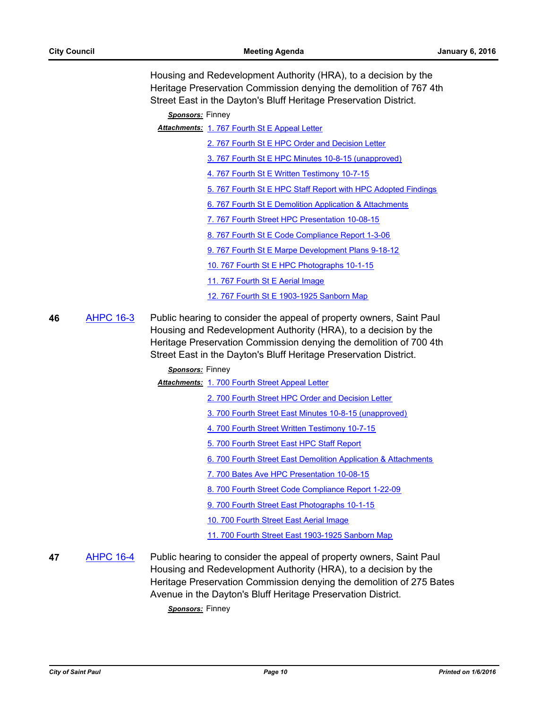Housing and Redevelopment Authority (HRA), to a decision by the Heritage Preservation Commission denying the demolition of 767 4th Street East in the Dayton's Bluff Heritage Preservation District.

*Sponsors:* Finney

- Attachments: 1.767 Fourth St E Appeal Letter
	- [2. 767 Fourth St E HPC Order and Decision Letter](http://StPaul.legistar.com/gateway.aspx?M=F&ID=ba2788f8-3822-4b78-8b94-cce0583d8d86.pdf)
	- [3. 767 Fourth St E HPC Minutes 10-8-15 \(unapproved\)](http://StPaul.legistar.com/gateway.aspx?M=F&ID=6e502d36-e09d-44f0-84c3-3e431174adb2.pdf)
	- [4. 767 Fourth St E Written Testimony 10-7-15](http://StPaul.legistar.com/gateway.aspx?M=F&ID=1d6b6cbe-cf72-4f42-849d-278d0ff656af.pdf)
	- [5. 767 Fourth St E HPC Staff Report with HPC Adopted Findings](http://StPaul.legistar.com/gateway.aspx?M=F&ID=8a94a833-d304-4986-bc89-d3b632547a0d.pdf)
	- [6. 767 Fourth St E Demolition Application & Attachments](http://StPaul.legistar.com/gateway.aspx?M=F&ID=c212c13c-95a5-4e2c-ae88-d99f17908f14.pdf)
	- [7. 767 Fourth Street HPC Presentation 10-08-15](http://StPaul.legistar.com/gateway.aspx?M=F&ID=ef8e8836-66e5-4abc-a63d-ecb9d718542a.pdf)
	- [8. 767 Fourth St E Code Compliance Report 1-3-06](http://StPaul.legistar.com/gateway.aspx?M=F&ID=146d14e6-74bb-4f01-b482-863ebfaa8ae0.pdf)
	- [9. 767 Fourth St E Marpe Development Plans 9-18-12](http://StPaul.legistar.com/gateway.aspx?M=F&ID=604e743e-6454-4a67-b48f-edbc287cf74b.pdf)
	- [10. 767 Fourth St E HPC Photographs 10-1-15](http://StPaul.legistar.com/gateway.aspx?M=F&ID=8553487e-220a-4777-ac8f-d24d58fa2c17.pdf)
	- [11. 767 Fourth St E Aerial Image](http://StPaul.legistar.com/gateway.aspx?M=F&ID=e3b8f919-750d-452a-9c85-2086041801cc.pdf)
	- [12. 767 Fourth St E 1903-1925 Sanborn Map](http://StPaul.legistar.com/gateway.aspx?M=F&ID=125d799a-1a46-4ab0-8180-a11629511935.pdf)
- **46** [AHPC 16-3](http://stpaul.legistar.com/gateway.aspx?m=l&id=/matter.aspx?key=20240) Public hearing to consider the appeal of property owners, Saint Paul Housing and Redevelopment Authority (HRA), to a decision by the Heritage Preservation Commission denying the demolition of 700 4th Street East in the Dayton's Bluff Heritage Preservation District.

## *Sponsors:* Finney

Attachments: 1.700 Fourth Street Appeal Letter

- [2. 700 Fourth Street HPC Order and Decision Letter](http://StPaul.legistar.com/gateway.aspx?M=F&ID=e52692f9-8f78-43f0-b1c5-fa7229afc51f.pdf)
- [3. 700 Fourth Street East Minutes 10-8-15 \(unapproved\)](http://StPaul.legistar.com/gateway.aspx?M=F&ID=c46ccdf0-cb9c-47ff-bd11-734be0c8c8fb.pdf)
- [4. 700 Fourth Street Written Testimony 10-7-15](http://StPaul.legistar.com/gateway.aspx?M=F&ID=9d0e3d22-cb28-4963-8349-652ab39435aa.pdf)
- [5. 700 Fourth Street East HPC Staff Report](http://StPaul.legistar.com/gateway.aspx?M=F&ID=4385d0de-50af-4304-a667-8e256a28be78.pdf)
- [6. 700 Fourth Street East Demolition Application & Attachments](http://StPaul.legistar.com/gateway.aspx?M=F&ID=28e5ff6b-449a-4984-8894-5bde59e6505b.pdf)
- [7. 700 Bates Ave HPC Presentation 10-08-15](http://StPaul.legistar.com/gateway.aspx?M=F&ID=697cf66c-cbc0-47ea-aef7-6ffa37e26e07.pdf)
- [8. 700 Fourth Street Code Compliance Report 1-22-09](http://StPaul.legistar.com/gateway.aspx?M=F&ID=23f76155-3d1b-4361-b690-654e33aff097.pdf)
- [9. 700 Fourth Street East Photographs 10-1-15](http://StPaul.legistar.com/gateway.aspx?M=F&ID=ee86de2a-4792-4299-9531-6249725c2c4f.pdf)
- [10. 700 Fourth Street East Aerial Image](http://StPaul.legistar.com/gateway.aspx?M=F&ID=180bda04-6c1a-4d43-9ceb-5b98f08f4f54.pdf)
- [11. 700 Fourth Street East 1903-1925 Sanborn Map](http://StPaul.legistar.com/gateway.aspx?M=F&ID=348baac8-1745-4a0f-af54-bd338edeb42f.pdf)
- **47** [AHPC 16-4](http://stpaul.legistar.com/gateway.aspx?m=l&id=/matter.aspx?key=20243) Public hearing to consider the appeal of property owners, Saint Paul Housing and Redevelopment Authority (HRA), to a decision by the Heritage Preservation Commission denying the demolition of 275 Bates Avenue in the Dayton's Bluff Heritage Preservation District.

*Sponsors:* Finney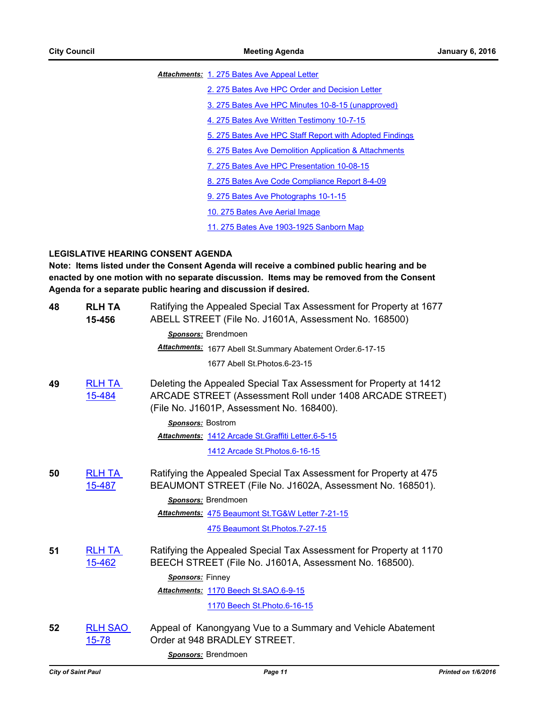Attachments: [1. 275 Bates Ave Appeal Letter](http://StPaul.legistar.com/gateway.aspx?M=F&ID=dcf5dc97-bff2-4f0e-abe4-c378ae2016a7.pdf)

[2. 275 Bates Ave HPC Order and Decision Letter](http://StPaul.legistar.com/gateway.aspx?M=F&ID=59b546c2-e180-432d-ad89-960410220959.pdf)

[3. 275 Bates Ave HPC Minutes 10-8-15 \(unapproved\)](http://StPaul.legistar.com/gateway.aspx?M=F&ID=e7ecf514-ff14-4e9a-a62b-ddcb645417f7.pdf)

[4. 275 Bates Ave Written Testimony 10-7-15](http://StPaul.legistar.com/gateway.aspx?M=F&ID=18beb5e9-d0df-400d-9ab4-4e2ea4f2d650.pdf)

[5. 275 Bates Ave HPC Staff Report with Adopted Findings](http://StPaul.legistar.com/gateway.aspx?M=F&ID=2ac1eb7f-9433-4ac5-a0ab-f34031f7d6fc.pdf)

[6. 275 Bates Ave Demolition Application & Attachments](http://StPaul.legistar.com/gateway.aspx?M=F&ID=411d3632-c0b9-4584-b6cf-7855f207b9be.pdf)

[7. 275 Bates Ave HPC Presentation 10-08-15](http://StPaul.legistar.com/gateway.aspx?M=F&ID=8253b732-f1bc-4ca6-9604-5699ee4dc9ea.pdf)

[8. 275 Bates Ave Code Compliance Report 8-4-09](http://StPaul.legistar.com/gateway.aspx?M=F&ID=ad8c4d94-309a-4a22-891a-b03ed0246b2e.pdf)

[9. 275 Bates Ave Photographs 10-1-15](http://StPaul.legistar.com/gateway.aspx?M=F&ID=27fedad1-f403-41f5-8063-a159ffa357ca.pdf)

[10. 275 Bates Ave Aerial Image](http://StPaul.legistar.com/gateway.aspx?M=F&ID=0c70d6d2-8e96-424c-a9b9-7172faf2b34e.pdf)

[11. 275 Bates Ave 1903-1925 Sanborn Map](http://StPaul.legistar.com/gateway.aspx?M=F&ID=95266e24-a5a6-4854-8954-86be3b67e41c.pdf)

# **LEGISLATIVE HEARING CONSENT AGENDA**

**Note: Items listed under the Consent Agenda will receive a combined public hearing and be enacted by one motion with no separate discussion. Items may be removed from the Consent Agenda for a separate public hearing and discussion if desired.**

| <b>RLH TA</b><br>15-456     | Ratifying the Appealed Special Tax Assessment for Property at 1677<br>ABELL STREET (File No. J1601A, Assessment No. 168500)                                                |
|-----------------------------|----------------------------------------------------------------------------------------------------------------------------------------------------------------------------|
|                             | Sponsors: Brendmoen                                                                                                                                                        |
|                             | Attachments: 1677 Abell St.Summary Abatement Order.6-17-15                                                                                                                 |
|                             | 1677 Abell St. Photos. 6-23-15                                                                                                                                             |
| <b>RLH TA</b><br>15-484     | Deleting the Appealed Special Tax Assessment for Property at 1412<br>ARCADE STREET (Assessment Roll under 1408 ARCADE STREET)<br>(File No. J1601P, Assessment No. 168400). |
|                             | <b>Sponsors: Bostrom</b>                                                                                                                                                   |
|                             | Attachments: 1412 Arcade St. Graffiti Letter. 6-5-15                                                                                                                       |
|                             | 1412 Arcade St. Photos. 6-16-15                                                                                                                                            |
| <b>RLH TA</b>               | Ratifying the Appealed Special Tax Assessment for Property at 475                                                                                                          |
| 15-487                      | BEAUMONT STREET (File No. J1602A, Assessment No. 168501).                                                                                                                  |
|                             | Sponsors: Brendmoen                                                                                                                                                        |
|                             | Attachments: 475 Beaumont St.TG&W Letter 7-21-15                                                                                                                           |
|                             | 475 Beaumont St. Photos. 7-27-15                                                                                                                                           |
| <b>RLH TA</b><br>15-462     | Ratifying the Appealed Special Tax Assessment for Property at 1170<br>BEECH STREET (File No. J1601A, Assessment No. 168500).                                               |
|                             | Sponsors: Finney                                                                                                                                                           |
|                             | Attachments: 1170 Beech St.SAO.6-9-15                                                                                                                                      |
|                             | 1170 Beech St. Photo. 6-16-15                                                                                                                                              |
| <b>RLH SAO</b><br>$15 - 78$ | Appeal of Kanongyang Vue to a Summary and Vehicle Abatement<br>Order at 948 BRADLEY STREET.                                                                                |
|                             | Sponsors: Brendmoen                                                                                                                                                        |
|                             |                                                                                                                                                                            |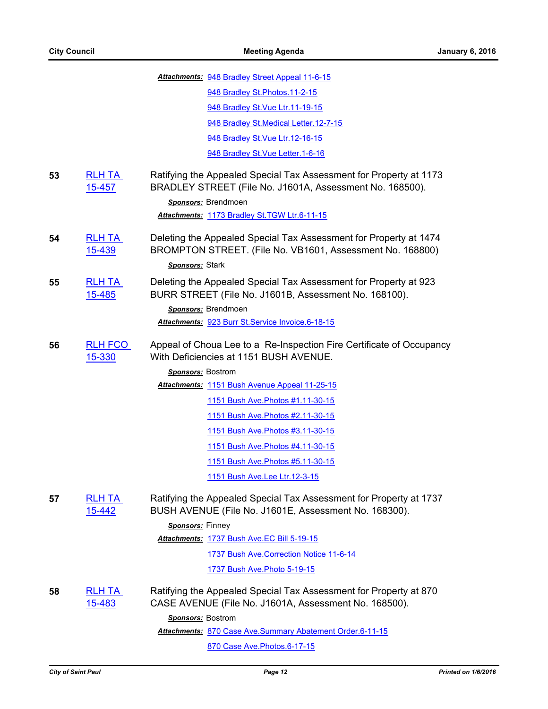|    |                                | Attachments: 948 Bradley Street Appeal 11-6-15                                                                                 |
|----|--------------------------------|--------------------------------------------------------------------------------------------------------------------------------|
|    |                                | 948 Bradley St. Photos. 11-2-15                                                                                                |
|    |                                | 948 Bradley St. Vue Ltr. 11-19-15                                                                                              |
|    |                                | 948 Bradley St. Medical Letter. 12-7-15                                                                                        |
|    |                                | 948 Bradley St. Vue Ltr. 12-16-15                                                                                              |
|    |                                | 948 Bradley St. Vue Letter. 1-6-16                                                                                             |
| 53 | <b>RLH TA</b><br><u>15-457</u> | Ratifying the Appealed Special Tax Assessment for Property at 1173<br>BRADLEY STREET (File No. J1601A, Assessment No. 168500). |
|    |                                | Sponsors: Brendmoen                                                                                                            |
|    |                                | Attachments: 1173 Bradley St.TGW Ltr.6-11-15                                                                                   |
| 54 | <b>RLH TA</b><br>15-439        | Deleting the Appealed Special Tax Assessment for Property at 1474<br>BROMPTON STREET. (File No. VB1601, Assessment No. 168800) |
|    |                                | Sponsors: Stark                                                                                                                |
| 55 | <b>RLH TA</b><br>15-485        | Deleting the Appealed Special Tax Assessment for Property at 923<br>BURR STREET (File No. J1601B, Assessment No. 168100).      |
|    |                                | Sponsors: Brendmoen                                                                                                            |
|    |                                | Attachments: 923 Burr St. Service Invoice. 6-18-15                                                                             |
| 56 | RLH FCO<br>15-330              | Appeal of Choua Lee to a Re-Inspection Fire Certificate of Occupancy<br>With Deficiencies at 1151 BUSH AVENUE.                 |
|    |                                | Sponsors: Bostrom                                                                                                              |
|    |                                | Attachments: 1151 Bush Avenue Appeal 11-25-15                                                                                  |
|    |                                | 1151 Bush Ave. Photos #1.11-30-15                                                                                              |
|    |                                | 1151 Bush Ave. Photos #2.11-30-15                                                                                              |
|    |                                | 1151 Bush Ave. Photos #3.11-30-15                                                                                              |
|    |                                | 1151 Bush Ave. Photos #4.11-30-15                                                                                              |
|    |                                | 1151 Bush Ave. Photos #5.11-30-15                                                                                              |
|    |                                | 1151 Bush Ave.Lee Ltr.12-3-15                                                                                                  |
| 57 | <b>RLH TA</b><br>15-442        | Ratifying the Appealed Special Tax Assessment for Property at 1737<br>BUSH AVENUE (File No. J1601E, Assessment No. 168300).    |
|    |                                | Sponsors: Finney                                                                                                               |
|    |                                | Attachments: 1737 Bush Ave.EC Bill 5-19-15                                                                                     |
|    |                                | 1737 Bush Ave. Correction Notice 11-6-14                                                                                       |
|    |                                | 1737 Bush Ave. Photo 5-19-15                                                                                                   |
| 58 | <b>RLH TA</b><br>15-483        | Ratifying the Appealed Special Tax Assessment for Property at 870<br>CASE AVENUE (File No. J1601A, Assessment No. 168500).     |
|    |                                | Sponsors: Bostrom                                                                                                              |
|    |                                | Attachments: 870 Case Ave.Summary Abatement Order.6-11-15                                                                      |
|    |                                | 870 Case Ave. Photos. 6-17-15                                                                                                  |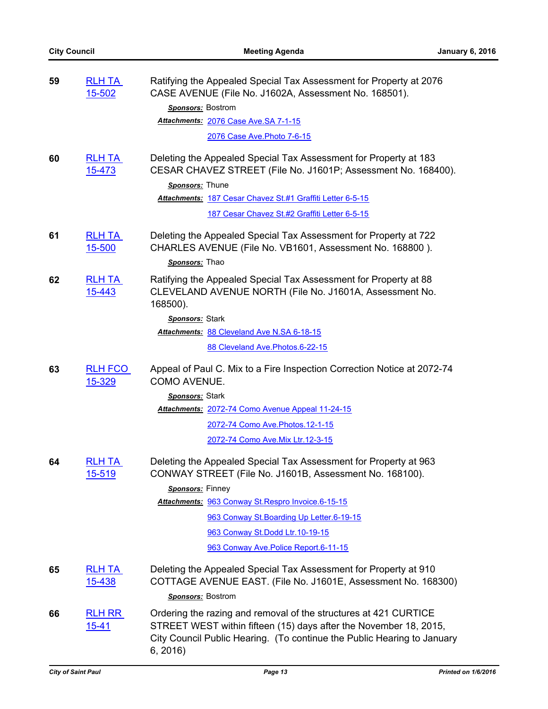| 59 | <b>RLH TA</b><br>15-502        | Ratifying the Appealed Special Tax Assessment for Property at 2076<br>CASE AVENUE (File No. J1602A, Assessment No. 168501).                                                                                                 |
|----|--------------------------------|-----------------------------------------------------------------------------------------------------------------------------------------------------------------------------------------------------------------------------|
|    |                                | <b>Sponsors:</b> Bostrom                                                                                                                                                                                                    |
|    |                                | Attachments: 2076 Case Ave.SA 7-1-15                                                                                                                                                                                        |
|    |                                | 2076 Case Ave. Photo 7-6-15                                                                                                                                                                                                 |
| 60 | <b>RLH TA</b><br><u>15-473</u> | Deleting the Appealed Special Tax Assessment for Property at 183<br>CESAR CHAVEZ STREET (File No. J1601P; Assessment No. 168400).<br>Sponsors: Thune<br>Attachments: 187 Cesar Chavez St.#1 Graffiti Letter 6-5-15          |
|    |                                | 187 Cesar Chavez St.#2 Graffiti Letter 6-5-15                                                                                                                                                                               |
| 61 | <b>RLH TA</b><br>15-500        | Deleting the Appealed Special Tax Assessment for Property at 722<br>CHARLES AVENUE (File No. VB1601, Assessment No. 168800).<br>Sponsors: Thao                                                                              |
| 62 | <b>RLH TA</b><br><u>15-443</u> | Ratifying the Appealed Special Tax Assessment for Property at 88<br>CLEVELAND AVENUE NORTH (File No. J1601A, Assessment No.<br>168500).                                                                                     |
|    |                                | Sponsors: Stark                                                                                                                                                                                                             |
|    |                                | Attachments: 88 Cleveland Ave N.SA 6-18-15                                                                                                                                                                                  |
|    |                                | 88 Cleveland Ave. Photos. 6-22-15                                                                                                                                                                                           |
| 63 | <b>RLH FCO</b><br>15-329       | Appeal of Paul C. Mix to a Fire Inspection Correction Notice at 2072-74<br><b>COMO AVENUE.</b>                                                                                                                              |
|    |                                | Sponsors: Stark                                                                                                                                                                                                             |
|    |                                | Attachments: 2072-74 Como Avenue Appeal 11-24-15                                                                                                                                                                            |
|    |                                | 2072-74 Como Ave. Photos. 12-1-15                                                                                                                                                                                           |
|    |                                | 2072-74 Como Ave. Mix Ltr. 12-3-15                                                                                                                                                                                          |
| 64 | <b>RLH TA</b><br><u>15-519</u> | Deleting the Appealed Special Tax Assessment for Property at 963<br>CONWAY STREET (File No. J1601B, Assessment No. 168100).                                                                                                 |
|    |                                | Sponsors: Finney                                                                                                                                                                                                            |
|    |                                | Attachments: 963 Conway St. Respro Invoice. 6-15-15                                                                                                                                                                         |
|    |                                | 963 Conway St. Boarding Up Letter. 6-19-15                                                                                                                                                                                  |
|    |                                | 963 Conway St.Dodd Ltr.10-19-15                                                                                                                                                                                             |
|    |                                | 963 Conway Ave. Police Report. 6-11-15                                                                                                                                                                                      |
| 65 | <b>RLH TA</b><br>15-438        | Deleting the Appealed Special Tax Assessment for Property at 910<br>COTTAGE AVENUE EAST. (File No. J1601E, Assessment No. 168300)                                                                                           |
|    |                                | Sponsors: Bostrom                                                                                                                                                                                                           |
| 66 | <b>RLH RR</b><br>$15 - 41$     | Ordering the razing and removal of the structures at 421 CURTICE<br>STREET WEST within fifteen (15) days after the November 18, 2015,<br>City Council Public Hearing. (To continue the Public Hearing to January<br>6, 2016 |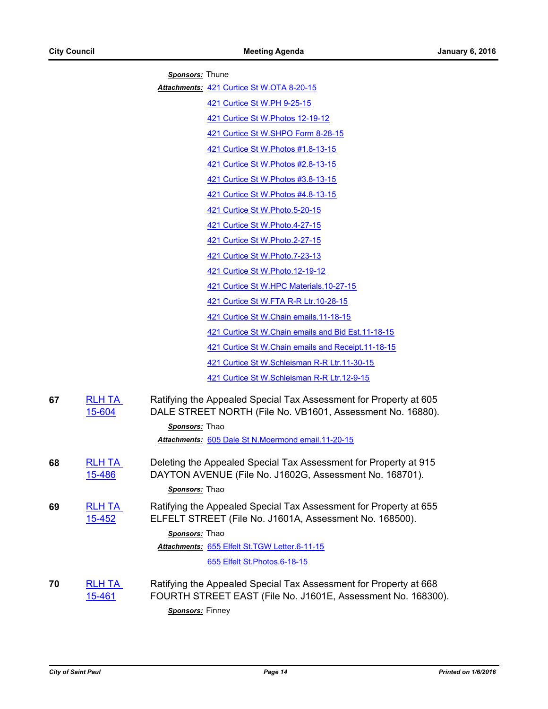*Sponsors:* Thune

Attachments: [421 Curtice St W.OTA 8-20-15](http://StPaul.legistar.com/gateway.aspx?M=F&ID=e87f13ae-63cd-4b54-b1bd-124558f0278e.pdf)

[421 Curtice St W.PH 9-25-15](http://StPaul.legistar.com/gateway.aspx?M=F&ID=50253156-ce35-4e8b-890e-1935a043b4cb.pdf)

[421 Curtice St W.Photos 12-19-12](http://StPaul.legistar.com/gateway.aspx?M=F&ID=d2ce53a3-1bf6-4653-a6ff-05c98bb06345.pdf)

[421 Curtice St W.SHPO Form 8-28-15](http://StPaul.legistar.com/gateway.aspx?M=F&ID=9823a812-77b7-4405-9b50-f9f683fe6bb9.pdf)

[421 Curtice St W.Photos #1.8-13-15](http://StPaul.legistar.com/gateway.aspx?M=F&ID=f4f6c7f3-f912-4cd4-ba54-acb67dab13c1.pdf)

[421 Curtice St W.Photos #2.8-13-15](http://StPaul.legistar.com/gateway.aspx?M=F&ID=b4c06292-77d6-4a9b-81ba-808f3b1c0f1d.pdf)

[421 Curtice St W.Photos #3.8-13-15](http://StPaul.legistar.com/gateway.aspx?M=F&ID=3e0c5d29-53df-4e78-889e-0310c732a8e6.pdf)

[421 Curtice St W.Photos #4.8-13-15](http://StPaul.legistar.com/gateway.aspx?M=F&ID=efb1135b-c4c4-4080-abe3-b03be96ef1fb.pdf)

[421 Curtice St W.Photo.5-20-15](http://StPaul.legistar.com/gateway.aspx?M=F&ID=68c334f2-36e5-42ea-a8f3-78121cb31982.pdf)

[421 Curtice St W.Photo.4-27-15](http://StPaul.legistar.com/gateway.aspx?M=F&ID=a4638fcb-4138-462e-b9e8-00f39b74c9d9.pdf)

[421 Curtice St W.Photo.2-27-15](http://StPaul.legistar.com/gateway.aspx?M=F&ID=6f61a65b-5093-4862-951e-d0d0c0b0d942.pdf)

[421 Curtice St W.Photo.7-23-13](http://StPaul.legistar.com/gateway.aspx?M=F&ID=5f7f9c3c-1aef-4d65-a0dc-2362e35b9003.pdf)

[421 Curtice St W.Photo.12-19-12](http://StPaul.legistar.com/gateway.aspx?M=F&ID=23e83adc-f95d-4ec7-a6b5-a286f618a714.pdf)

[421 Curtice St W.HPC Materials.10-27-15](http://StPaul.legistar.com/gateway.aspx?M=F&ID=3af694a8-8640-4f4a-b3b5-f9bda3cb52e6.pdf)

[421 Curtice St W.FTA R-R Ltr.10-28-15](http://StPaul.legistar.com/gateway.aspx?M=F&ID=14856094-c0d1-4b6a-a21c-5e16a33982e1.doc)

[421 Curtice St W.Chain emails.11-18-15](http://StPaul.legistar.com/gateway.aspx?M=F&ID=224ca404-96c7-4125-b80b-c4c5771eb044.pdf)

[421 Curtice St W.Chain emails and Bid Est.11-18-15](http://StPaul.legistar.com/gateway.aspx?M=F&ID=47ada887-3680-403f-a819-5c1bd413e1da.pdf)

[421 Curtice St W.Chain emails and Receipt.11-18-15](http://StPaul.legistar.com/gateway.aspx?M=F&ID=102c1f55-c25b-4dc4-979b-5a3b018ebcc9.pdf)

[421 Curtice St W.Schleisman R-R Ltr.11-30-15](http://StPaul.legistar.com/gateway.aspx?M=F&ID=ea7b215b-9334-427a-b330-ebb79e6034d4.doc)

[421 Curtice St W.Schleisman R-R Ltr.12-9-15](http://StPaul.legistar.com/gateway.aspx?M=F&ID=61a83eb5-45ae-4b49-b406-7600df9d85ea.doc)

| 67 | <b>RLH TA</b><br>15-604 | Ratifying the Appealed Special Tax Assessment for Property at 605<br>DALE STREET NORTH (File No. VB1601, Assessment No. 16880).                      |
|----|-------------------------|------------------------------------------------------------------------------------------------------------------------------------------------------|
|    |                         | Sponsors: Thao                                                                                                                                       |
|    |                         | Attachments: 605 Dale St N.Moermond email.11-20-15                                                                                                   |
| 68 | <b>RLH TA</b><br>15-486 | Deleting the Appealed Special Tax Assessment for Property at 915<br>DAYTON AVENUE (File No. J1602G, Assessment No. 168701).<br><b>Sponsors:</b> Thao |
| 69 | <b>RLH TA</b><br>15-452 | Ratifying the Appealed Special Tax Assessment for Property at 655<br>ELFELT STREET (File No. J1601A, Assessment No. 168500).                         |
|    |                         | Sponsors: Thao                                                                                                                                       |
|    |                         | Attachments: 655 Elfelt St.TGW Letter.6-11-15                                                                                                        |
|    |                         | 655 Elfelt St. Photos. 6-18-15                                                                                                                       |
| 70 | RLH TA                  | Ratifying the Appealed Special Tax Assessment for Property at 668                                                                                    |

15-461 FOURTH STREET EAST (File No. J1601E, Assessment No. 168300).

*Sponsors:* Finney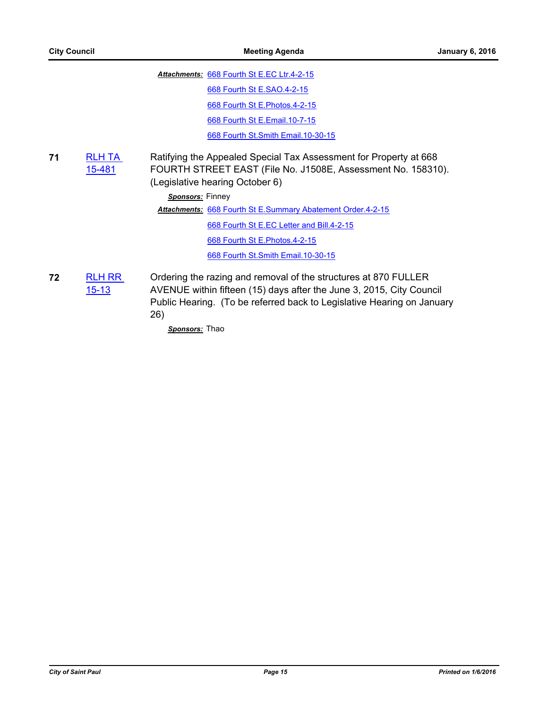Attachments: [668 Fourth St E.EC Ltr.4-2-15](http://StPaul.legistar.com/gateway.aspx?M=F&ID=ca04eb29-7633-4a39-be4b-eb0760257c85.pdf) [668 Fourth St E.SAO.4-2-15](http://StPaul.legistar.com/gateway.aspx?M=F&ID=f95b9701-c83a-42dd-a0aa-a9ac102901ee.pdf) [668 Fourth St E.Photos.4-2-15](http://StPaul.legistar.com/gateway.aspx?M=F&ID=e20fc87b-4c12-4c77-8ff3-f7d4a8230b0f.pdf) [668 Fourth St E.Email.10-7-15](http://StPaul.legistar.com/gateway.aspx?M=F&ID=c1905ca8-d328-4e12-805e-b0714db0e0b4.pdf) [668 Fourth St.Smith Email.10-30-15](http://StPaul.legistar.com/gateway.aspx?M=F&ID=d4555592-1c59-4e8a-aca5-a7cdd46de5e5.pdf)

**71** [RLH TA](http://stpaul.legistar.com/gateway.aspx?m=l&id=/matter.aspx?key=19825)  15-481 Ratifying the Appealed Special Tax Assessment for Property at 668 FOURTH STREET EAST (File No. J1508E, Assessment No. 158310). (Legislative hearing October 6)

*Sponsors:* Finney

[668 Fourth St E.Summary Abatement Order.4-2-15](http://StPaul.legistar.com/gateway.aspx?M=F&ID=c2e7c001-f390-4774-9d2e-2ceff683e737.pdf) *Attachments:*

[668 Fourth St E.EC Letter and Bill.4-2-15](http://StPaul.legistar.com/gateway.aspx?M=F&ID=7eabee10-bb07-4a26-b076-2992dfc2f310.pdf)

[668 Fourth St E.Photos.4-2-15](http://StPaul.legistar.com/gateway.aspx?M=F&ID=cc186c6d-b5ce-49d5-996c-cf63a3be940e.pdf)

[668 Fourth St.Smith Email.10-30-15](http://StPaul.legistar.com/gateway.aspx?M=F&ID=9841bf25-da69-4e73-a93e-b1d36a586165.pdf)

**72** [RLH RR](http://stpaul.legistar.com/gateway.aspx?m=l&id=/matter.aspx?key=18442)  15-13 Ordering the razing and removal of the structures at 870 FULLER AVENUE within fifteen (15) days after the June 3, 2015, City Council Public Hearing. (To be referred back to Legislative Hearing on January 26)

*Sponsors:* Thao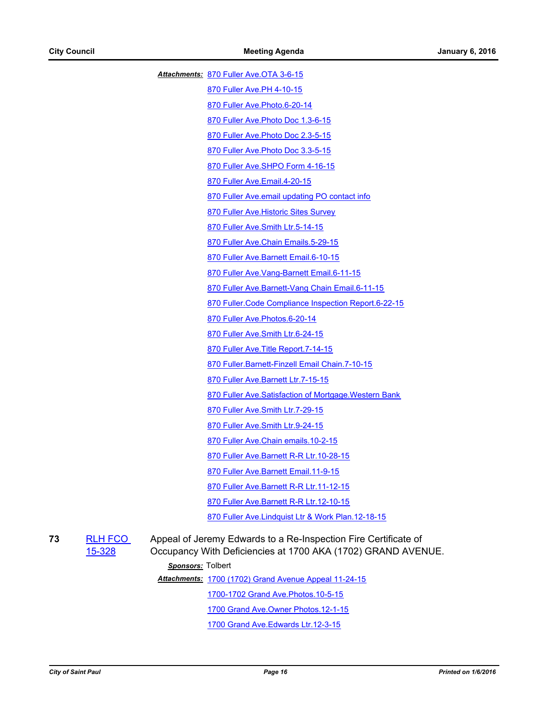[870 Fuller Ave.OTA 3-6-15](http://StPaul.legistar.com/gateway.aspx?M=F&ID=6d3e7ef2-2c1e-4c07-a6dd-1455779f2d89.pdf) *Attachments:*

[870 Fuller Ave.PH 4-10-15](http://StPaul.legistar.com/gateway.aspx?M=F&ID=ab616e82-df14-4f85-bdc7-d859591ad6af.pdf)

[870 Fuller Ave.Photo.6-20-14](http://StPaul.legistar.com/gateway.aspx?M=F&ID=fcd41e52-797f-4160-82b1-34936ca26512.pdf)

[870 Fuller Ave.Photo Doc 1.3-6-15](http://StPaul.legistar.com/gateway.aspx?M=F&ID=c527d861-4c82-4cfd-b2d0-d1429f82d1cf.pdf)

[870 Fuller Ave.Photo Doc 2.3-5-15](http://StPaul.legistar.com/gateway.aspx?M=F&ID=e057cc57-800c-4b9d-95b8-3be64554266a.pdf)

[870 Fuller Ave.Photo Doc 3.3-5-15](http://StPaul.legistar.com/gateway.aspx?M=F&ID=0abec3b1-274f-4355-9b0e-9be39fa3a992.pdf)

[870 Fuller Ave.SHPO Form 4-16-15](http://StPaul.legistar.com/gateway.aspx?M=F&ID=02b3257e-fe34-4962-9f21-586c0f97b30a.pdf)

[870 Fuller Ave.Email.4-20-15](http://StPaul.legistar.com/gateway.aspx?M=F&ID=4f4afa32-b491-44f8-adb0-22a01422c04f.pdf)

[870 Fuller Ave.email updating PO contact info](http://StPaul.legistar.com/gateway.aspx?M=F&ID=495531aa-a9f7-40a9-88a4-822314798909.pdf)

[870 Fuller Ave.Historic Sites Survey](http://StPaul.legistar.com/gateway.aspx?M=F&ID=bc293fb8-4246-49c7-bf37-e99c9dad6e4b.pdf)

[870 Fuller Ave.Smith Ltr.5-14-15](http://StPaul.legistar.com/gateway.aspx?M=F&ID=415f2938-1d65-4e94-a662-b6b935bf6e75.pdf)

[870 Fuller Ave.Chain Emails.5-29-15](http://StPaul.legistar.com/gateway.aspx?M=F&ID=11884330-2cad-4ffb-8f66-ecb05bb4141a.pdf)

[870 Fuller Ave.Barnett Email.6-10-15](http://StPaul.legistar.com/gateway.aspx?M=F&ID=18313457-a60a-4fb8-955c-864dbc2c1603.pdf)

[870 Fuller Ave.Vang-Barnett Email.6-11-15](http://StPaul.legistar.com/gateway.aspx?M=F&ID=d3af05a7-168a-491c-8d24-d7bc64548a42.pdf)

[870 Fuller Ave.Barnett-Vang Chain Email.6-11-15](http://StPaul.legistar.com/gateway.aspx?M=F&ID=e2f7970b-179e-4f62-886a-6b197a5ddf41.pdf)

[870 Fuller.Code Compliance Inspection Report.6-22-15](http://StPaul.legistar.com/gateway.aspx?M=F&ID=823989fc-8e9a-4f31-8064-04a57feba5b2.pdf)

[870 Fuller Ave.Photos.6-20-14](http://StPaul.legistar.com/gateway.aspx?M=F&ID=77a90dd3-5c51-4432-b94c-b1840d7abb7f.pdf)

[870 Fuller Ave.Smith Ltr.6-24-15](http://StPaul.legistar.com/gateway.aspx?M=F&ID=f884eb30-e5a5-4354-be4f-a9f0529c660e.doc)

[870 Fuller Ave.Title Report.7-14-15](http://StPaul.legistar.com/gateway.aspx?M=F&ID=3cf71de1-bf93-43e8-bc50-9281a56960b0.pdf)

[870 Fuller.Barnett-Finzell Email Chain.7-10-15](http://StPaul.legistar.com/gateway.aspx?M=F&ID=20d545c8-35f8-40ba-8e12-67340f85dfc2.pdf)

[870 Fuller Ave.Barnett Ltr.7-15-15](http://StPaul.legistar.com/gateway.aspx?M=F&ID=7c5a8d38-d3eb-4968-9498-bde3ccd9f7fd.doc)

[870 Fuller Ave.Satisfaction of Mortgage.Western Bank](http://StPaul.legistar.com/gateway.aspx?M=F&ID=3ad8eea7-a4f0-4bf1-a28c-fcf1e47f6016.pdf)

[870 Fuller Ave.Smith Ltr.7-29-15](http://StPaul.legistar.com/gateway.aspx?M=F&ID=53b245fa-0613-4640-af1e-4ef2b068869e.doc)

[870 Fuller Ave.Smith Ltr.9-24-15](http://StPaul.legistar.com/gateway.aspx?M=F&ID=58a95b0e-6beb-4733-94bd-0b4fe5d5f592.doc)

[870 Fuller Ave.Chain emails.10-2-15](http://StPaul.legistar.com/gateway.aspx?M=F&ID=9cda30d1-ad5c-4ba9-9061-563c466b43e9.pdf)

[870 Fuller Ave.Barnett R-R Ltr.10-28-15](http://StPaul.legistar.com/gateway.aspx?M=F&ID=f3ecb54a-11e4-4707-b140-8bebd2d0fd6b.doc)

[870 Fuller Ave.Barnett Email.11-9-15](http://StPaul.legistar.com/gateway.aspx?M=F&ID=f6cdacf7-7a91-4dff-8fd4-0aab557418b3.pdf)

[870 Fuller Ave.Barnett R-R Ltr.11-12-15](http://StPaul.legistar.com/gateway.aspx?M=F&ID=6fe571d4-c25c-4c5c-9ba2-de4d4f7c0a89.doc)

870 Fuller Ave. Barnett R-R Ltr. 12-10-15

[870 Fuller Ave.Lindquist Ltr & Work Plan.12-18-15](http://StPaul.legistar.com/gateway.aspx?M=F&ID=356aaf36-d685-4a4d-b0b7-bcd68a4a05ab.pdf)

**73** [RLH FCO](http://stpaul.legistar.com/gateway.aspx?m=l&id=/matter.aspx?key=20349)  15-328

Appeal of Jeremy Edwards to a Re-Inspection Fire Certificate of Occupancy With Deficiencies at 1700 AKA (1702) GRAND AVENUE.

# *Sponsors:* Tolbert

Attachments: [1700 \(1702\) Grand Avenue Appeal 11-24-15](http://StPaul.legistar.com/gateway.aspx?M=F&ID=d956420c-0cf2-4ae3-bbbd-e2e5a5eb3235.pdf)

[1700-1702 Grand Ave.Photos.10-5-15](http://StPaul.legistar.com/gateway.aspx?M=F&ID=112151db-4595-4123-9454-5efeb5ed62e4.pdf)

[1700 Grand Ave.Owner Photos.12-1-15](http://StPaul.legistar.com/gateway.aspx?M=F&ID=bac926c9-d4ae-44b0-a8da-aa63ebdcc47b.pdf)

[1700 Grand Ave.Edwards Ltr.12-3-15](http://StPaul.legistar.com/gateway.aspx?M=F&ID=da6fbd0d-4cfc-4f46-828c-f739775c76e5.doc)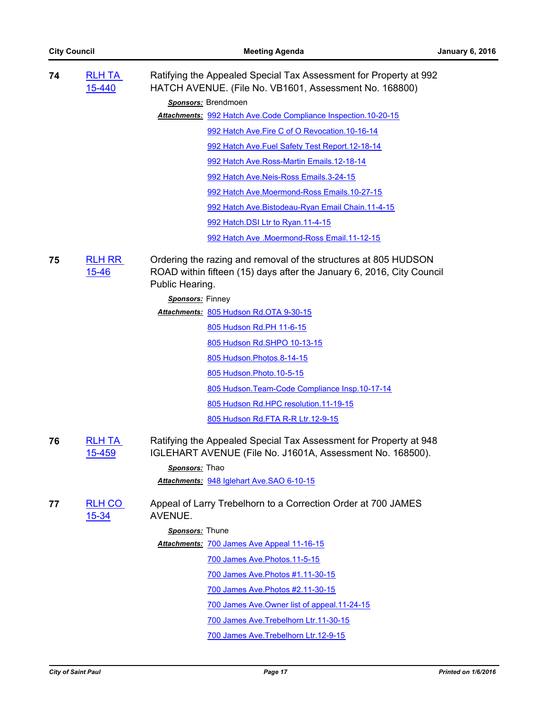| 74 | <b>RLH TA</b><br>15-440    | Ratifying the Appealed Special Tax Assessment for Property at 992<br>HATCH AVENUE. (File No. VB1601, Assessment No. 168800)                                 |
|----|----------------------------|-------------------------------------------------------------------------------------------------------------------------------------------------------------|
|    |                            | Sponsors: Brendmoen                                                                                                                                         |
|    |                            | Attachments: 992 Hatch Ave.Code Compliance Inspection.10-20-15                                                                                              |
|    |                            | 992 Hatch Ave. Fire C of O Revocation. 10-16-14                                                                                                             |
|    |                            | 992 Hatch Ave. Fuel Safety Test Report. 12-18-14                                                                                                            |
|    |                            | 992 Hatch Ave.Ross-Martin Emails.12-18-14                                                                                                                   |
|    |                            | 992 Hatch Ave.Neis-Ross Emails.3-24-15                                                                                                                      |
|    |                            | 992 Hatch Ave.Moermond-Ross Emails.10-27-15                                                                                                                 |
|    |                            | 992 Hatch Ave.Bistodeau-Ryan Email Chain.11-4-15                                                                                                            |
|    |                            | 992 Hatch.DSI Ltr to Ryan.11-4-15                                                                                                                           |
|    |                            | 992 Hatch Ave .Moermond-Ross Email.11-12-15                                                                                                                 |
| 75 | <b>RLH RR</b><br>$15 - 46$ | Ordering the razing and removal of the structures at 805 HUDSON<br>ROAD within fifteen (15) days after the January 6, 2016, City Council<br>Public Hearing. |
|    |                            | Sponsors: Finney                                                                                                                                            |
|    |                            | Attachments: 805 Hudson Rd.OTA 9-30-15                                                                                                                      |
|    |                            | 805 Hudson Rd.PH 11-6-15                                                                                                                                    |
|    |                            | 805 Hudson Rd.SHPO 10-13-15                                                                                                                                 |
|    |                            | 805 Hudson. Photos. 8-14-15                                                                                                                                 |
|    |                            | 805 Hudson. Photo. 10-5-15                                                                                                                                  |
|    |                            | 805 Hudson. Team-Code Compliance Insp. 10-17-14                                                                                                             |
|    |                            | 805 Hudson Rd.HPC resolution.11-19-15                                                                                                                       |
|    |                            | 805 Hudson Rd.FTA R-R Ltr.12-9-15                                                                                                                           |
| 76 | <b>RLH TA</b><br>15-459    | Ratifying the Appealed Special Tax Assessment for Property at 948<br>IGLEHART AVENUE (File No. J1601A, Assessment No. 168500).                              |
|    |                            | Sponsors: Thao                                                                                                                                              |
|    |                            | Attachments: 948 Iglehart Ave.SAO 6-10-15                                                                                                                   |
| 77 | <b>RLH CO</b><br>$15 - 34$ | Appeal of Larry Trebelhorn to a Correction Order at 700 JAMES<br>AVENUE.                                                                                    |
|    |                            | Sponsors: Thune                                                                                                                                             |
|    |                            | Attachments: 700 James Ave Appeal 11-16-15                                                                                                                  |
|    |                            | 700 James Ave. Photos. 11-5-15                                                                                                                              |
|    |                            | 700 James Ave. Photos #1.11-30-15                                                                                                                           |
|    |                            | 700 James Ave. Photos #2.11-30-15                                                                                                                           |
|    |                            | 700 James Ave. Owner list of appeal. 11-24-15                                                                                                               |
|    |                            | 700 James Ave. Trebelhorn Ltr. 11-30-15                                                                                                                     |
|    |                            | 700 James Ave. Trebelhorn Ltr. 12-9-15                                                                                                                      |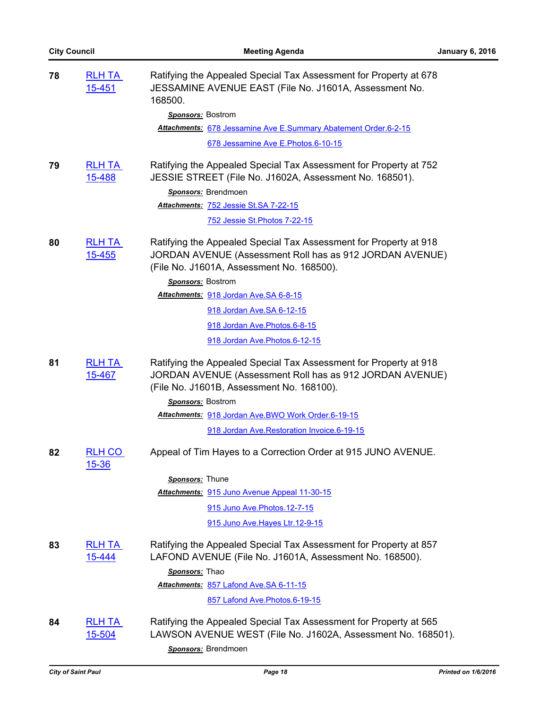| 78 | <b>RLH TA</b><br><u>15-451</u> | Ratifying the Appealed Special Tax Assessment for Property at 678<br>JESSAMINE AVENUE EAST (File No. J1601A, Assessment No.<br>168500.                                     |
|----|--------------------------------|----------------------------------------------------------------------------------------------------------------------------------------------------------------------------|
|    |                                | Sponsors: Bostrom                                                                                                                                                          |
|    |                                | Attachments: 678 Jessamine Ave E.Summary Abatement Order.6-2-15                                                                                                            |
|    |                                | 678 Jessamine Ave E. Photos. 6-10-15                                                                                                                                       |
| 79 | <b>RLH TA</b><br>15-488        | Ratifying the Appealed Special Tax Assessment for Property at 752<br>JESSIE STREET (File No. J1602A, Assessment No. 168501).                                               |
|    |                                | Sponsors: Brendmoen                                                                                                                                                        |
|    |                                | Attachments: 752 Jessie St.SA 7-22-15                                                                                                                                      |
|    |                                | <u>752 Jessie St. Photos 7-22-15</u>                                                                                                                                       |
| 80 | <b>RLH TA</b><br>15-455        | Ratifying the Appealed Special Tax Assessment for Property at 918<br>JORDAN AVENUE (Assessment Roll has as 912 JORDAN AVENUE)<br>(File No. J1601A, Assessment No. 168500). |
|    |                                | Sponsors: Bostrom                                                                                                                                                          |
|    |                                | Attachments: 918 Jordan Ave.SA 6-8-15                                                                                                                                      |
|    |                                | 918 Jordan Ave.SA 6-12-15                                                                                                                                                  |
|    |                                | 918 Jordan Ave. Photos. 6-8-15                                                                                                                                             |
|    |                                | 918 Jordan Ave. Photos. 6-12-15                                                                                                                                            |
| 81 | <b>RLH TA</b><br>15-467        | Ratifying the Appealed Special Tax Assessment for Property at 918<br>JORDAN AVENUE (Assessment Roll has as 912 JORDAN AVENUE)<br>(File No. J1601B, Assessment No. 168100). |
|    |                                | Sponsors: Bostrom                                                                                                                                                          |
|    |                                | Attachments: 918 Jordan Ave.BWO Work Order.6-19-15                                                                                                                         |
|    |                                | 918 Jordan Ave.Restoration Invoice.6-19-15                                                                                                                                 |
| 82 | RLH CO<br>15-36                | Appeal of Tim Hayes to a Correction Order at 915 JUNO AVENUE.                                                                                                              |
|    |                                | Sponsors: Thune                                                                                                                                                            |
|    |                                | Attachments: 915 Juno Avenue Appeal 11-30-15                                                                                                                               |
|    |                                | 915 Juno Ave. Photos. 12-7-15                                                                                                                                              |
|    |                                | 915 Juno Ave. Hayes Ltr. 12-9-15                                                                                                                                           |
| 83 | <b>RLH TA</b><br>15-444        | Ratifying the Appealed Special Tax Assessment for Property at 857<br>LAFOND AVENUE (File No. J1601A, Assessment No. 168500).                                               |
|    |                                | Sponsors: Thao                                                                                                                                                             |
|    |                                | Attachments: 857 Lafond Ave.SA 6-11-15                                                                                                                                     |
|    |                                | 857 Lafond Ave. Photos. 6-19-15                                                                                                                                            |
| 84 | <b>RLH TA</b><br>15-504        | Ratifying the Appealed Special Tax Assessment for Property at 565<br>LAWSON AVENUE WEST (File No. J1602A, Assessment No. 168501).                                          |
|    |                                | Sponsors: Brendmoen                                                                                                                                                        |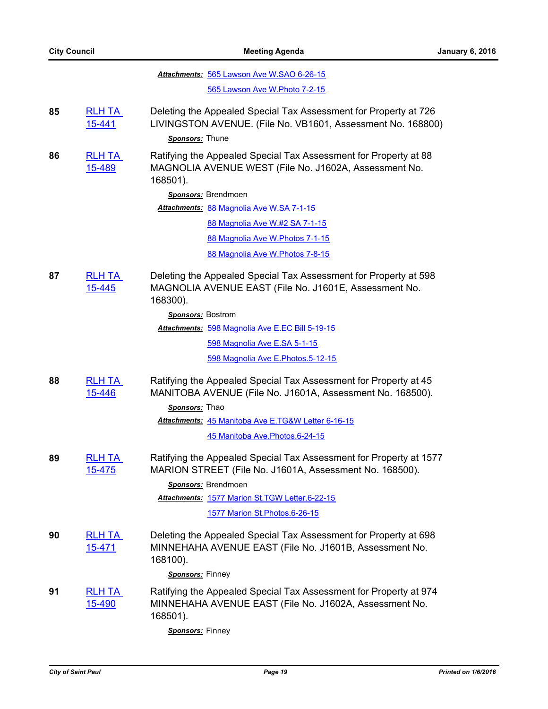85

86

**87** [RLH TA](http://stpaul.legistar.com/gateway.aspx?m=l&id=/matter.aspx?key=19611) 

**88** [RLH TA](http://stpaul.legistar.com/gateway.aspx?m=l&id=/matter.aspx?key=19612) 

**89** [RLH TA](http://stpaul.legistar.com/gateway.aspx?m=l&id=/matter.aspx?key=19746) 

**90** [RLH TA](http://stpaul.legistar.com/gateway.aspx?m=l&id=/matter.aspx?key=19727) 

**91** 

|                         | Attachments: 565 Lawson Ave W.SAO 6-26-15                                                                                                                                                              |
|-------------------------|--------------------------------------------------------------------------------------------------------------------------------------------------------------------------------------------------------|
|                         | 565 Lawson Ave W. Photo 7-2-15                                                                                                                                                                         |
| <b>RLH TA</b><br>15-441 | Deleting the Appealed Special Tax Assessment for Property at 726<br>LIVINGSTON AVENUE. (File No. VB1601, Assessment No. 168800)                                                                        |
|                         | Sponsors: Thune                                                                                                                                                                                        |
| <b>RLH TA</b><br>15-489 | Ratifying the Appealed Special Tax Assessment for Property at 88<br>MAGNOLIA AVENUE WEST (File No. J1602A, Assessment No.<br>168501).                                                                  |
|                         | Sponsors: Brendmoen                                                                                                                                                                                    |
|                         | Attachments: 88 Magnolia Ave W.SA 7-1-15                                                                                                                                                               |
|                         | 88 Magnolia Ave W.#2 SA 7-1-15                                                                                                                                                                         |
|                         | 88 Magnolia Ave W. Photos 7-1-15                                                                                                                                                                       |
|                         | 88 Magnolia Ave W. Photos 7-8-15                                                                                                                                                                       |
| <b>RLH TA</b><br>15-445 | Deleting the Appealed Special Tax Assessment for Property at 598<br>MAGNOLIA AVENUE EAST (File No. J1601E, Assessment No.<br>168300).                                                                  |
|                         | Sponsors: Bostrom                                                                                                                                                                                      |
|                         | Attachments: 598 Magnolia Ave E.EC Bill 5-19-15                                                                                                                                                        |
|                         | 598 Magnolia Ave E.SA 5-1-15                                                                                                                                                                           |
|                         | 598 Magnolia Ave E.Photos.5-12-15                                                                                                                                                                      |
| <b>RLH TA</b><br>15-446 | Ratifying the Appealed Special Tax Assessment for Property at 45<br>MANITOBA AVENUE (File No. J1601A, Assessment No. 168500).<br>Sponsors: Thao                                                        |
|                         | Attachments: 45 Manitoba Ave E.TG&W Letter 6-16-15                                                                                                                                                     |
|                         | 45 Manitoba Ave. Photos. 6-24-15                                                                                                                                                                       |
| <b>RLH TA</b><br>15-475 | Ratifying the Appealed Special Tax Assessment for Property at 1577<br>MARION STREET (File No. J1601A, Assessment No. 168500).<br>Sponsors: Brendmoen<br>Attachments: 1577 Marion St.TGW Letter.6-22-15 |
|                         | 1577 Marion St. Photos. 6-26-15                                                                                                                                                                        |
|                         |                                                                                                                                                                                                        |
| <b>RLH TA</b><br>15-471 | Deleting the Appealed Special Tax Assessment for Property at 698<br>MINNEHAHA AVENUE EAST (File No. J1601B, Assessment No.<br>168100).                                                                 |
|                         | Sponsors: Finney                                                                                                                                                                                       |
| <b>RLH TA</b><br>15-490 | Ratifying the Appealed Special Tax Assessment for Property at 974<br>MINNEHAHA AVENUE EAST (File No. J1602A, Assessment No.<br>168501).                                                                |

*Sponsors:* Finney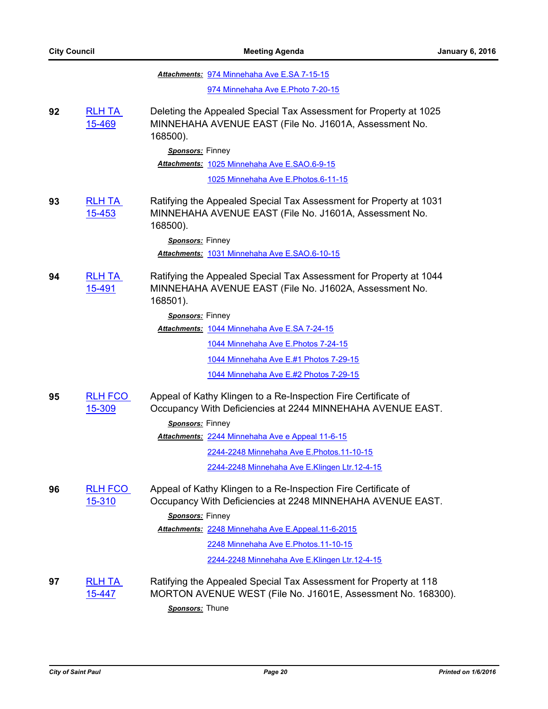|    |                          | Attachments: 974 Minnehaha Ave E.SA 7-15-15                                                                                              |
|----|--------------------------|------------------------------------------------------------------------------------------------------------------------------------------|
|    |                          | 974 Minnehaha Ave E. Photo 7-20-15                                                                                                       |
| 92 | <b>RLH TA</b><br>15-469  | Deleting the Appealed Special Tax Assessment for Property at 1025<br>MINNEHAHA AVENUE EAST (File No. J1601A, Assessment No.<br>168500).  |
|    |                          | Sponsors: Finney                                                                                                                         |
|    |                          | Attachments: 1025 Minnehaha Ave E.SAO.6-9-15                                                                                             |
|    |                          | 1025 Minnehaha Ave E. Photos. 6-11-15                                                                                                    |
| 93 | <b>RLH TA</b><br>15-453  | Ratifying the Appealed Special Tax Assessment for Property at 1031<br>MINNEHAHA AVENUE EAST (File No. J1601A, Assessment No.<br>168500). |
|    |                          | Sponsors: Finney                                                                                                                         |
|    |                          | Attachments: 1031 Minnehaha Ave E.SAO.6-10-15                                                                                            |
| 94 | <b>RLH TA</b><br>15-491  | Ratifying the Appealed Special Tax Assessment for Property at 1044<br>MINNEHAHA AVENUE EAST (File No. J1602A, Assessment No.<br>168501). |
|    |                          | Sponsors: Finney                                                                                                                         |
|    |                          | Attachments: 1044 Minnehaha Ave E.SA 7-24-15                                                                                             |
|    |                          | 1044 Minnehaha Ave E. Photos 7-24-15                                                                                                     |
|    |                          | 1044 Minnehaha Ave E.#1 Photos 7-29-15                                                                                                   |
|    |                          | 1044 Minnehaha Ave E.#2 Photos 7-29-15                                                                                                   |
| 95 | <b>RLH FCO</b><br>15-309 | Appeal of Kathy Klingen to a Re-Inspection Fire Certificate of<br>Occupancy With Deficiencies at 2244 MINNEHAHA AVENUE EAST.             |
|    |                          | Sponsors: Finney                                                                                                                         |
|    |                          | Attachments: 2244 Minnehaha Ave e Appeal 11-6-15                                                                                         |
|    |                          | 2244-2248 Minnehaha Ave E. Photos. 11-10-15                                                                                              |
|    |                          | 2244-2248 Minnehaha Ave E.Klingen Ltr.12-4-15                                                                                            |
| 96 | <b>RLH FCO</b><br>15-310 | Appeal of Kathy Klingen to a Re-Inspection Fire Certificate of<br>Occupancy With Deficiencies at 2248 MINNEHAHA AVENUE EAST.             |
|    |                          | Sponsors: Finney                                                                                                                         |
|    |                          | Attachments: 2248 Minnehaha Ave E.Appeal.11-6-2015                                                                                       |
|    |                          | 2248 Minnehaha Ave E.Photos.11-10-15                                                                                                     |
|    |                          | 2244-2248 Minnehaha Ave E.Klingen Ltr.12-4-15                                                                                            |
| 97 | <b>RLH TA</b><br>15-447  | Ratifying the Appealed Special Tax Assessment for Property at 118<br>MORTON AVENUE WEST (File No. J1601E, Assessment No. 168300).        |
|    |                          | Sponsors: Thune                                                                                                                          |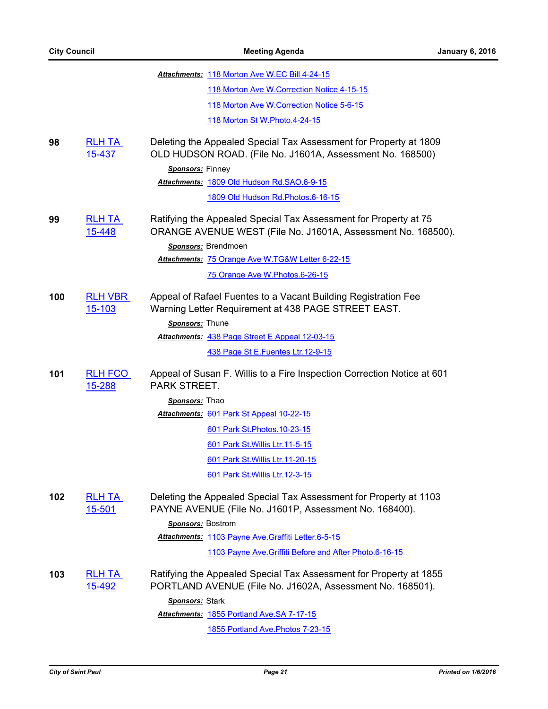|     |                                | Attachments: 118 Morton Ave W.EC Bill 4-24-15                                                                                                                                                               |
|-----|--------------------------------|-------------------------------------------------------------------------------------------------------------------------------------------------------------------------------------------------------------|
|     |                                | 118 Morton Ave W. Correction Notice 4-15-15                                                                                                                                                                 |
|     |                                | 118 Morton Ave W. Correction Notice 5-6-15                                                                                                                                                                  |
|     |                                | 118 Morton St W. Photo. 4-24-15                                                                                                                                                                             |
| 98  | <b>RLH TA</b><br>15-437        | Deleting the Appealed Special Tax Assessment for Property at 1809<br>OLD HUDSON ROAD. (File No. J1601A, Assessment No. 168500)                                                                              |
|     |                                | Sponsors: Finney                                                                                                                                                                                            |
|     |                                | Attachments: 1809 Old Hudson Rd.SAO.6-9-15                                                                                                                                                                  |
|     |                                | 1809 Old Hudson Rd. Photos. 6-16-15                                                                                                                                                                         |
| 99  | <b>RLH TA</b><br>15-448        | Ratifying the Appealed Special Tax Assessment for Property at 75<br>ORANGE AVENUE WEST (File No. J1601A, Assessment No. 168500).<br>Sponsors: Brendmoen<br>Attachments: 75 Orange Ave W.TG&W Letter 6-22-15 |
|     |                                |                                                                                                                                                                                                             |
|     |                                | 75 Orange Ave W.Photos.6-26-15                                                                                                                                                                              |
| 100 | <b>RLH VBR</b><br>15-103       | Appeal of Rafael Fuentes to a Vacant Building Registration Fee<br>Warning Letter Requirement at 438 PAGE STREET EAST.                                                                                       |
|     |                                | Sponsors: Thune                                                                                                                                                                                             |
|     |                                | Attachments: 438 Page Street E Appeal 12-03-15                                                                                                                                                              |
|     |                                | 438 Page St E.Fuentes Ltr.12-9-15                                                                                                                                                                           |
| 101 | <b>RLH FCO</b><br>15-288       | Appeal of Susan F. Willis to a Fire Inspection Correction Notice at 601<br>PARK STREET.                                                                                                                     |
|     |                                | Sponsors: Thao                                                                                                                                                                                              |
|     |                                | Attachments: 601 Park St Appeal 10-22-15                                                                                                                                                                    |
|     |                                | 601 Park St. Photos. 10-23-15                                                                                                                                                                               |
|     |                                | 601 Park St. Willis Ltr. 11-5-15                                                                                                                                                                            |
|     |                                | 601 Park St. Willis Ltr. 11-20-15                                                                                                                                                                           |
|     |                                | 601 Park St. Willis Ltr. 12-3-15                                                                                                                                                                            |
| 102 | <u>RLH TA</u><br><u>15-501</u> | Deleting the Appealed Special Tax Assessment for Property at 1103<br>PAYNE AVENUE (File No. J1601P, Assessment No. 168400).                                                                                 |
|     |                                | Sponsors: Bostrom                                                                                                                                                                                           |
|     |                                | Attachments: 1103 Payne Ave. Graffiti Letter.6-5-15                                                                                                                                                         |
|     |                                | 1103 Payne Ave. Griffiti Before and After Photo.6-16-15                                                                                                                                                     |
| 103 | <b>RLH TA</b><br><u>15-492</u> | Ratifying the Appealed Special Tax Assessment for Property at 1855<br>PORTLAND AVENUE (File No. J1602A, Assessment No. 168501).                                                                             |
|     |                                | Sponsors: Stark                                                                                                                                                                                             |
|     |                                | Attachments: 1855 Portland Ave.SA 7-17-15                                                                                                                                                                   |

[1855 Portland Ave.Photos 7-23-15](http://StPaul.legistar.com/gateway.aspx?M=F&ID=012d1c7b-0613-461a-8409-20e868ccf092.pdf)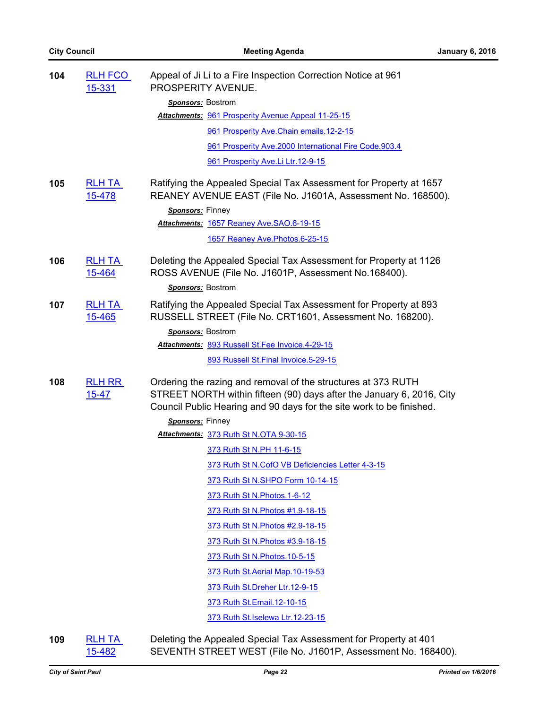| 104 | <b>RLH FCO</b><br>15-331   | Appeal of Ji Li to a Fire Inspection Correction Notice at 961<br>PROSPERITY AVENUE.                                                                                                                            |
|-----|----------------------------|----------------------------------------------------------------------------------------------------------------------------------------------------------------------------------------------------------------|
|     |                            | Sponsors: Bostrom                                                                                                                                                                                              |
|     |                            | Attachments: 961 Prosperity Avenue Appeal 11-25-15                                                                                                                                                             |
|     |                            | 961 Prosperity Ave. Chain emails. 12-2-15                                                                                                                                                                      |
|     |                            | 961 Prosperity Ave.2000 International Fire Code.903.4                                                                                                                                                          |
|     |                            | 961 Prosperity Ave.Li Ltr.12-9-15                                                                                                                                                                              |
| 105 | <b>RLH TA</b><br>15-478    | Ratifying the Appealed Special Tax Assessment for Property at 1657<br>REANEY AVENUE EAST (File No. J1601A, Assessment No. 168500).                                                                             |
|     |                            | Sponsors: Finney                                                                                                                                                                                               |
|     |                            | Attachments: 1657 Reaney Ave.SAO.6-19-15                                                                                                                                                                       |
|     |                            | 1657 Reaney Ave. Photos. 6-25-15                                                                                                                                                                               |
| 106 | <b>RLH TA</b><br>15-464    | Deleting the Appealed Special Tax Assessment for Property at 1126<br>ROSS AVENUE (File No. J1601P, Assessment No.168400).                                                                                      |
|     |                            | Sponsors: Bostrom                                                                                                                                                                                              |
| 107 | <b>RLH TA</b><br>15-465    | Ratifying the Appealed Special Tax Assessment for Property at 893<br>RUSSELL STREET (File No. CRT1601, Assessment No. 168200).                                                                                 |
|     |                            | <b>Sponsors: Bostrom</b>                                                                                                                                                                                       |
|     |                            | Attachments: 893 Russell St.Fee Invoice.4-29-15                                                                                                                                                                |
|     |                            | 893 Russell St. Final Invoice. 5-29-15                                                                                                                                                                         |
| 108 | <b>RLH RR</b><br>$15 - 47$ | Ordering the razing and removal of the structures at 373 RUTH<br>STREET NORTH within fifteen (90) days after the January 6, 2016, City<br>Council Public Hearing and 90 days for the site work to be finished. |
|     |                            | Sponsors: Finney                                                                                                                                                                                               |
|     |                            | Attachments: 373 Ruth St N.OTA 9-30-15                                                                                                                                                                         |
|     |                            | 373 Ruth St N.PH 11-6-15                                                                                                                                                                                       |
|     |                            | 373 Ruth St N.CofO VB Deficiencies Letter 4-3-15                                                                                                                                                               |
|     |                            | 373 Ruth St N.SHPO Form 10-14-15                                                                                                                                                                               |
|     |                            | 373 Ruth St N. Photos. 1-6-12                                                                                                                                                                                  |
|     |                            | 373 Ruth St N. Photos #1.9-18-15                                                                                                                                                                               |
|     |                            | 373 Ruth St N. Photos #2.9-18-15                                                                                                                                                                               |
|     |                            | 373 Ruth St N. Photos #3.9-18-15                                                                                                                                                                               |
|     |                            | 373 Ruth St N. Photos. 10-5-15                                                                                                                                                                                 |
|     |                            | 373 Ruth St. Aerial Map. 10-19-53                                                                                                                                                                              |
|     |                            | 373 Ruth St. Dreher Ltr. 12-9-15                                                                                                                                                                               |
|     |                            | 373 Ruth St. Email. 12-10-15                                                                                                                                                                                   |
|     |                            | 373 Ruth St. Iselewa Ltr. 12-23-15                                                                                                                                                                             |

**109** [RLH TA](http://stpaul.legistar.com/gateway.aspx?m=l&id=/matter.aspx?key=19828)  15-482

Deleting the Appealed Special Tax Assessment for Property at 401 SEVENTH STREET WEST (File No. J1601P, Assessment No. 168400).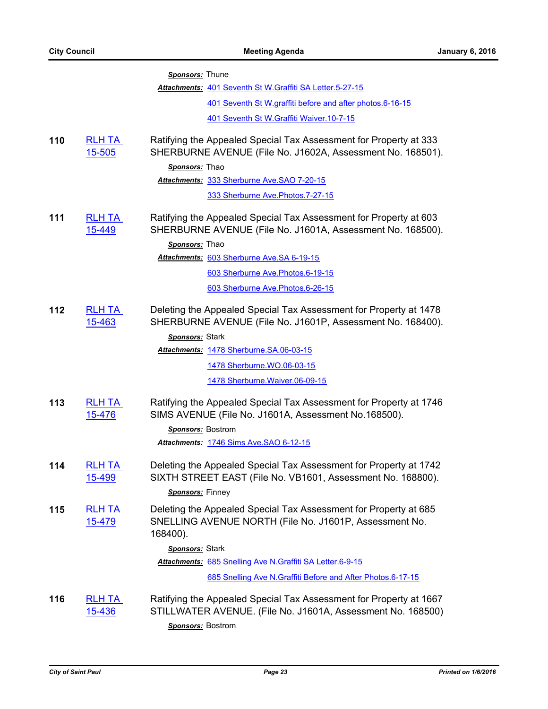|     |                                | Sponsors: Thune                                                                                                                                        |
|-----|--------------------------------|--------------------------------------------------------------------------------------------------------------------------------------------------------|
|     |                                | Attachments: 401 Seventh St W.Graffiti SA Letter.5-27-15                                                                                               |
|     |                                | 401 Seventh St W.graffiti before and after photos.6-16-15                                                                                              |
|     |                                | 401 Seventh St W. Graffiti Waiver. 10-7-15                                                                                                             |
| 110 | <b>RLH TA</b><br>15-505        | Ratifying the Appealed Special Tax Assessment for Property at 333<br>SHERBURNE AVENUE (File No. J1602A, Assessment No. 168501).<br>Sponsors: Thao      |
|     |                                | Attachments: 333 Sherburne Ave. SAO 7-20-15                                                                                                            |
|     |                                | 333 Sherburne Ave. Photos. 7-27-15                                                                                                                     |
| 111 | <b>RLH TA</b><br>15-449        | Ratifying the Appealed Special Tax Assessment for Property at 603<br>SHERBURNE AVENUE (File No. J1601A, Assessment No. 168500).                        |
|     |                                | Sponsors: Thao                                                                                                                                         |
|     |                                | Attachments: 603 Sherburne Ave. SA 6-19-15                                                                                                             |
|     |                                | 603 Sherburne Ave. Photos. 6-19-15                                                                                                                     |
|     |                                | 603 Sherburne Ave. Photos. 6-26-15                                                                                                                     |
| 112 | <b>RLH TA</b><br>15-463        | Deleting the Appealed Special Tax Assessment for Property at 1478<br>SHERBURNE AVENUE (File No. J1601P, Assessment No. 168400).                        |
|     |                                | Sponsors: Stark                                                                                                                                        |
|     |                                | Attachments: 1478 Sherburne.SA.06-03-15                                                                                                                |
|     |                                | 1478 Sherburne. WO.06-03-15                                                                                                                            |
|     |                                | 1478 Sherburne. Waiver. 06-09-15                                                                                                                       |
| 113 | <b>RLH TA</b><br>15-476        | Ratifying the Appealed Special Tax Assessment for Property at 1746<br>SIMS AVENUE (File No. J1601A, Assessment No.168500).                             |
|     |                                | Sponsors: Bostrom                                                                                                                                      |
|     |                                | Attachments: 1746 Sims Ave. SAO 6-12-15                                                                                                                |
| 114 | <u>RLH TA</u><br>15-499        | Deleting the Appealed Special Tax Assessment for Property at 1742<br>SIXTH STREET EAST (File No. VB1601, Assessment No. 168800).                       |
|     |                                | Sponsors: Finney                                                                                                                                       |
| 115 | <u>RLH TA</u><br><u>15-479</u> | Deleting the Appealed Special Tax Assessment for Property at 685<br>SNELLING AVENUE NORTH (File No. J1601P, Assessment No.<br>168400).                 |
|     |                                | Sponsors: Stark                                                                                                                                        |
|     |                                | Attachments: 685 Snelling Ave N. Graffiti SA Letter.6-9-15                                                                                             |
|     |                                | 685 Snelling Ave N.Graffiti Before and After Photos.6-17-15                                                                                            |
| 116 | <b>RLH TA</b><br>15-436        | Ratifying the Appealed Special Tax Assessment for Property at 1667<br>STILLWATER AVENUE. (File No. J1601A, Assessment No. 168500)<br>Sponsors: Bostrom |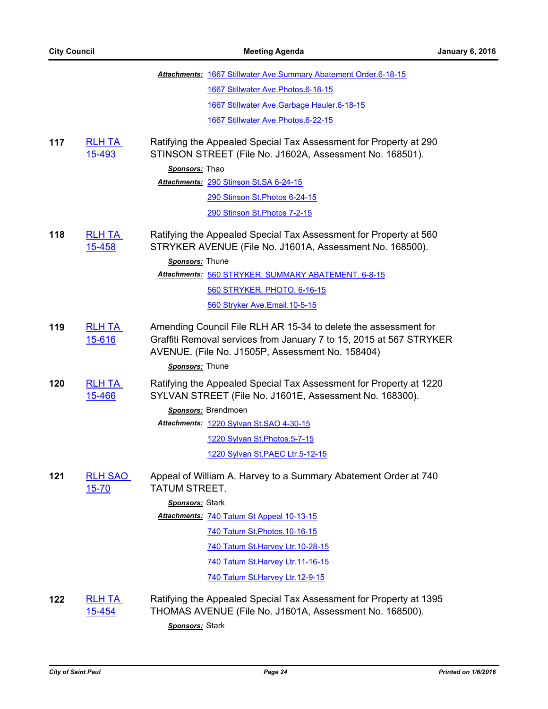|     |                                | <b>Attachments: 1667 Stillwater Ave. Summary Abatement Order.6-18-15</b>                                                                                                                                      |
|-----|--------------------------------|---------------------------------------------------------------------------------------------------------------------------------------------------------------------------------------------------------------|
|     |                                | 1667 Stillwater Ave. Photos. 6-18-15                                                                                                                                                                          |
|     |                                | 1667 Stillwater Ave. Garbage Hauler. 6-18-15                                                                                                                                                                  |
|     |                                | 1667 Stillwater Ave.Photos.6-22-15                                                                                                                                                                            |
| 117 | <b>RLH TA</b><br>15-493        | Ratifying the Appealed Special Tax Assessment for Property at 290<br>STINSON STREET (File No. J1602A, Assessment No. 168501).                                                                                 |
|     |                                | Sponsors: Thao                                                                                                                                                                                                |
|     |                                | Attachments: 290 Stinson St.SA 6-24-15                                                                                                                                                                        |
|     |                                | 290 Stinson St. Photos 6-24-15                                                                                                                                                                                |
|     |                                | 290 Stinson St. Photos 7-2-15                                                                                                                                                                                 |
| 118 | <b>RLH TA</b><br>15-458        | Ratifying the Appealed Special Tax Assessment for Property at 560<br>STRYKER AVENUE (File No. J1601A, Assessment No. 168500).<br>Sponsors: Thune                                                              |
|     |                                | Attachments: 560 STRYKER. SUMMARY ABATEMENT. 6-8-15                                                                                                                                                           |
|     |                                | 560 STRYKER. PHOTO. 6-16-15                                                                                                                                                                                   |
|     |                                | 560 Stryker Ave.Email.10-5-15                                                                                                                                                                                 |
| 119 | <b>RLH TA</b><br>15-616        | Amending Council File RLH AR 15-34 to delete the assessment for<br>Graffiti Removal services from January 7 to 15, 2015 at 567 STRYKER<br>AVENUE. (File No. J1505P, Assessment No. 158404)<br>Sponsors: Thune |
| 120 | <b>RLH TA</b><br>15-466        | Ratifying the Appealed Special Tax Assessment for Property at 1220<br>SYLVAN STREET (File No. J1601E, Assessment No. 168300).                                                                                 |
|     |                                | Sponsors: Brendmoen                                                                                                                                                                                           |
|     |                                | Attachments: 1220 Sylvan St.SAO 4-30-15                                                                                                                                                                       |
|     |                                | 1220 Sylvan St. Photos. 5-7-15                                                                                                                                                                                |
|     |                                | 1220 Sylvan St.PAEC Ltr.5-12-15                                                                                                                                                                               |
| 121 | <b>RLH SAO</b><br>$15 - 70$    | Appeal of William A. Harvey to a Summary Abatement Order at 740<br>TATUM STREET.                                                                                                                              |
|     |                                | Sponsors: Stark                                                                                                                                                                                               |
|     |                                | Attachments: 740 Tatum St Appeal 10-13-15                                                                                                                                                                     |
|     |                                | 740 Tatum St. Photos. 10-16-15                                                                                                                                                                                |
|     |                                | 740 Tatum St.Harvey Ltr.10-28-15                                                                                                                                                                              |
|     |                                | 740 Tatum St. Harvey Ltr. 11-16-15                                                                                                                                                                            |
|     |                                | 740 Tatum St. Harvey Ltr. 12-9-15                                                                                                                                                                             |
| 122 | <b>RLH TA</b><br><u>15-454</u> | Ratifying the Appealed Special Tax Assessment for Property at 1395<br>THOMAS AVENUE (File No. J1601A, Assessment No. 168500).<br>Sponsors: Stark                                                              |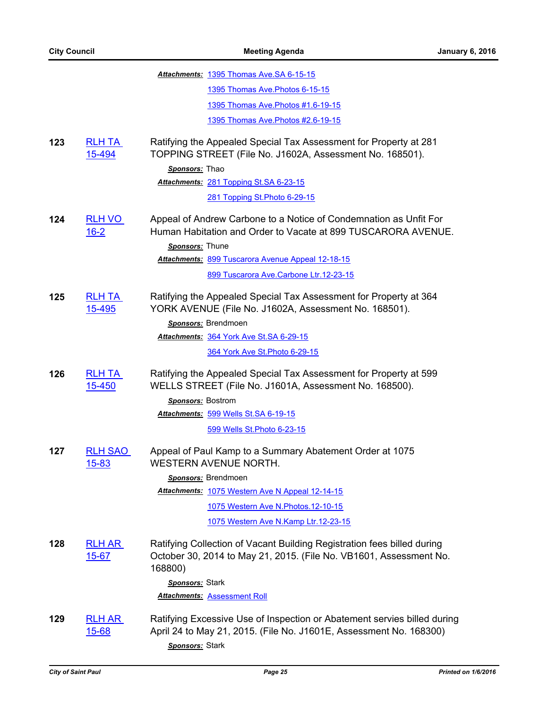|     |                               | Attachments: 1395 Thomas Ave. SA 6-15-15                                                                                                                          |
|-----|-------------------------------|-------------------------------------------------------------------------------------------------------------------------------------------------------------------|
|     |                               | 1395 Thomas Ave. Photos 6-15-15                                                                                                                                   |
|     |                               | 1395 Thomas Ave. Photos #1.6-19-15                                                                                                                                |
|     |                               | 1395 Thomas Ave. Photos #2.6-19-15                                                                                                                                |
| 123 | <b>RLH TA</b><br>15-494       | Ratifying the Appealed Special Tax Assessment for Property at 281<br>TOPPING STREET (File No. J1602A, Assessment No. 168501).<br>Sponsors: Thao                   |
|     |                               | Attachments: 281 Topping St.SA 6-23-15                                                                                                                            |
|     |                               | 281 Topping St. Photo 6-29-15                                                                                                                                     |
| 124 | <b>RLH VO</b><br>$16 - 2$     | Appeal of Andrew Carbone to a Notice of Condemnation as Unfit For<br>Human Habitation and Order to Vacate at 899 TUSCARORA AVENUE.                                |
|     |                               | Sponsors: Thune                                                                                                                                                   |
|     |                               | Attachments: 899 Tuscarora Avenue Appeal 12-18-15                                                                                                                 |
|     |                               | 899 Tuscarora Ave.Carbone Ltr.12-23-15                                                                                                                            |
| 125 | <b>RLH TA</b><br>15-495       | Ratifying the Appealed Special Tax Assessment for Property at 364<br>YORK AVENUE (File No. J1602A, Assessment No. 168501).<br>Sponsors: Brendmoen                 |
|     |                               | Attachments: 364 York Ave St.SA 6-29-15                                                                                                                           |
|     |                               | 364 York Ave St. Photo 6-29-15                                                                                                                                    |
| 126 | <b>RLH TA</b><br>15-450       | Ratifying the Appealed Special Tax Assessment for Property at 599<br>WELLS STREET (File No. J1601A, Assessment No. 168500).                                       |
|     |                               | Sponsors: Bostrom<br>Attachments: 599 Wells St.SA 6-19-15                                                                                                         |
|     |                               | 599 Wells St. Photo 6-23-15                                                                                                                                       |
| 127 | <b>RLH SAO</b><br>$15 - 83$   | Appeal of Paul Kamp to a Summary Abatement Order at 1075<br><b>WESTERN AVENUE NORTH.</b>                                                                          |
|     |                               | Sponsors: Brendmoen                                                                                                                                               |
|     |                               | Attachments: 1075 Western Ave N Appeal 12-14-15                                                                                                                   |
|     |                               | 1075 Western Ave N. Photos. 12-10-15                                                                                                                              |
|     |                               | 1075 Western Ave N.Kamp Ltr.12-23-15                                                                                                                              |
| 128 | <b>RLH AR</b><br>$15 - 67$    | Ratifying Collection of Vacant Building Registration fees billed during<br>October 30, 2014 to May 21, 2015. (File No. VB1601, Assessment No.<br>168800)          |
|     |                               | Sponsors: Stark<br><b>Attachments: Assessment Roll</b>                                                                                                            |
|     |                               |                                                                                                                                                                   |
| 129 | <b>RLH AR</b><br><u>15-68</u> | Ratifying Excessive Use of Inspection or Abatement servies billed during<br>April 24 to May 21, 2015. (File No. J1601E, Assessment No. 168300)<br>Sponsors: Stark |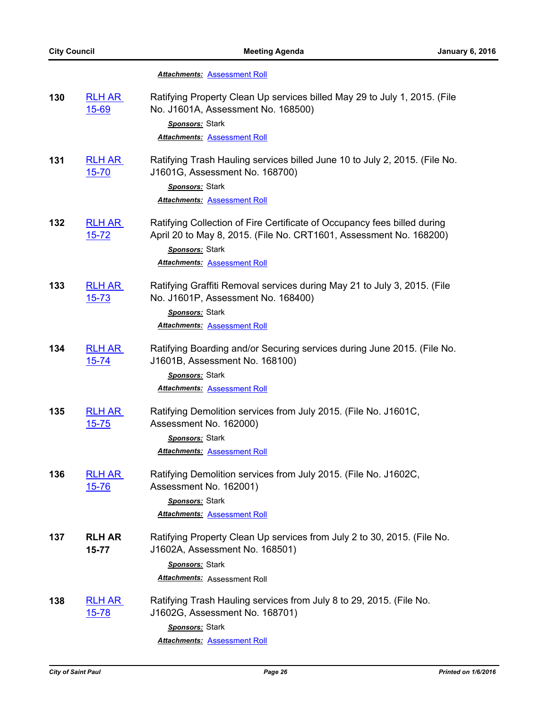# *Attachments:* [Assessment Roll](http://StPaul.legistar.com/gateway.aspx?M=F&ID=4467e4ef-424e-4516-96db-0d085f4974e1.pdf)

| 130 | <b>RLH AR</b><br>$15 - 69$ | Ratifying Property Clean Up services billed May 29 to July 1, 2015. (File<br>No. J1601A, Assessment No. 168500)<br>Sponsors: Stark                                                                       |
|-----|----------------------------|----------------------------------------------------------------------------------------------------------------------------------------------------------------------------------------------------------|
|     |                            | <b>Attachments: Assessment Roll</b>                                                                                                                                                                      |
| 131 | <b>RLH AR</b><br>$15 - 70$ | Ratifying Trash Hauling services billed June 10 to July 2, 2015. (File No.<br>J1601G, Assessment No. 168700)                                                                                             |
|     |                            | Sponsors: Stark<br><b>Attachments: Assessment Roll</b>                                                                                                                                                   |
| 132 | <b>RLH AR</b><br>$15 - 72$ | Ratifying Collection of Fire Certificate of Occupancy fees billed during<br>April 20 to May 8, 2015. (File No. CRT1601, Assessment No. 168200)<br>Sponsors: Stark<br><b>Attachments: Assessment Roll</b> |
| 133 | <b>RLH AR</b><br>$15 - 73$ | Ratifying Graffiti Removal services during May 21 to July 3, 2015. (File<br>No. J1601P, Assessment No. 168400)<br>Sponsors: Stark                                                                        |
|     |                            | <b>Attachments: Assessment Roll</b>                                                                                                                                                                      |
| 134 | <b>RLH AR</b><br>$15 - 74$ | Ratifying Boarding and/or Securing services during June 2015. (File No.<br>J1601B, Assessment No. 168100)<br>Sponsors: Stark                                                                             |
|     |                            | <b>Attachments: Assessment Roll</b>                                                                                                                                                                      |
| 135 | <b>RLH AR</b><br>$15 - 75$ | Ratifying Demolition services from July 2015. (File No. J1601C,<br>Assessment No. 162000)                                                                                                                |
|     |                            | Sponsors: Stark                                                                                                                                                                                          |
|     |                            | <b>Attachments: Assessment Roll</b>                                                                                                                                                                      |
| 136 | <b>RLH AR</b><br>$15 - 76$ | Ratifying Demolition services from July 2015. (File No. J1602C,<br>Assessment No. 162001)                                                                                                                |
|     |                            | Sponsors: Stark<br><b>Attachments: Assessment Roll</b>                                                                                                                                                   |
| 137 | <b>RLH AR</b>              | Ratifying Property Clean Up services from July 2 to 30, 2015. (File No.                                                                                                                                  |
|     | $15 - 77$                  | J1602A, Assessment No. 168501)                                                                                                                                                                           |
|     |                            | Sponsors: Stark                                                                                                                                                                                          |
|     |                            | Attachments: Assessment Roll                                                                                                                                                                             |
| 138 | <b>RLH AR</b><br>$15 - 78$ | Ratifying Trash Hauling services from July 8 to 29, 2015. (File No.<br>J1602G, Assessment No. 168701)                                                                                                    |
|     |                            | Sponsors: Stark                                                                                                                                                                                          |
|     |                            | <b>Attachments: Assessment Roll</b>                                                                                                                                                                      |